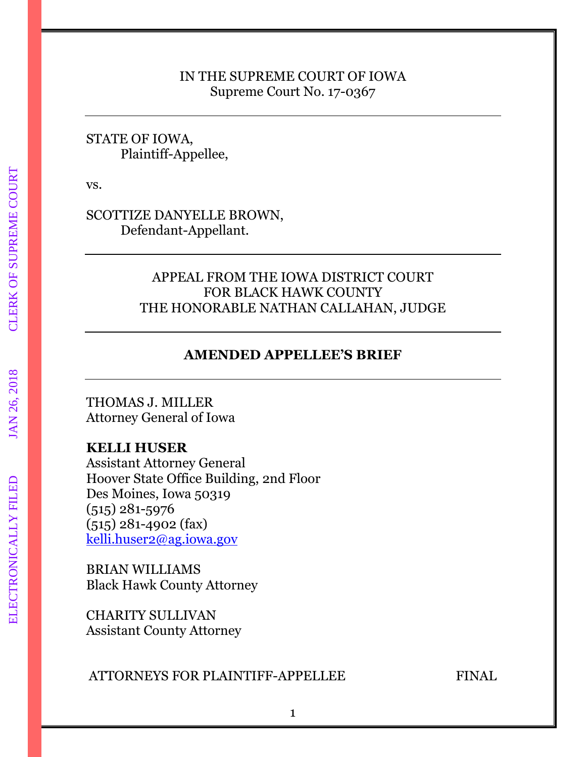### IN THE SUPREME COURT OF IOWA Supreme Court No. 17-0367

### STATE OF IOWA, Plaintiff-Appellee,

vs.

SCOTTIZE DANYELLE BROWN, Defendant-Appellant.

## APPEAL FROM THE IOWA DISTRICT COURT FOR BLACK HAWK COUNTY THE HONORABLE NATHAN CALLAHAN, JUDGE

## **AMENDED APPELLEE'S BRIEF**

THOMAS J. MILLER Attorney General of Iowa

## **KELLI HUSER**

Assistant Attorney General Hoover State Office Building, 2nd Floor Des Moines, Iowa 50319 (515) 281-5976 (515) 281-4902 (fax) [kelli.huser2@ag.iowa.gov](mailto:kelli.huser2@ag.iowa.gov)

BRIAN WILLIAMS Black Hawk County Attorney

CHARITY SULLIVAN Assistant County Attorney

ATTORNEYS FOR PLAINTIFF-APPELLEE FINAL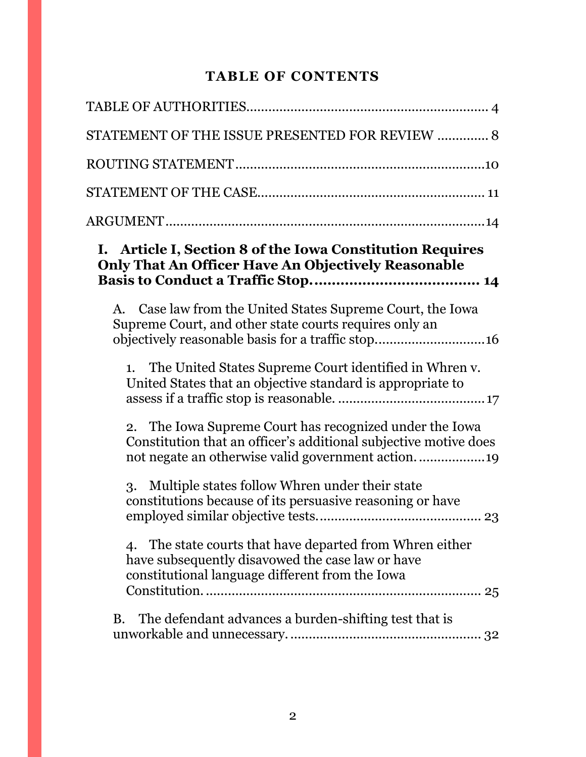# **TABLE OF CONTENTS**

| STATEMENT OF THE ISSUE PRESENTED FOR REVIEW  8                                                                                                                  |
|-----------------------------------------------------------------------------------------------------------------------------------------------------------------|
|                                                                                                                                                                 |
|                                                                                                                                                                 |
|                                                                                                                                                                 |
| I. Article I, Section 8 of the Iowa Constitution Requires<br><b>Only That An Officer Have An Objectively Reasonable</b>                                         |
| Case law from the United States Supreme Court, the Iowa<br>А.<br>Supreme Court, and other state courts requires only an                                         |
| The United States Supreme Court identified in Whren v.<br>1.<br>United States that an objective standard is appropriate to                                      |
| 2. The Iowa Supreme Court has recognized under the Iowa<br>Constitution that an officer's additional subjective motive does                                     |
| 3. Multiple states follow Whren under their state<br>constitutions because of its persuasive reasoning or have                                                  |
| 4. The state courts that have departed from Whren either<br>have subsequently disavowed the case law or have<br>constitutional language different from the Iowa |
| B. The defendant advances a burden-shifting test that is                                                                                                        |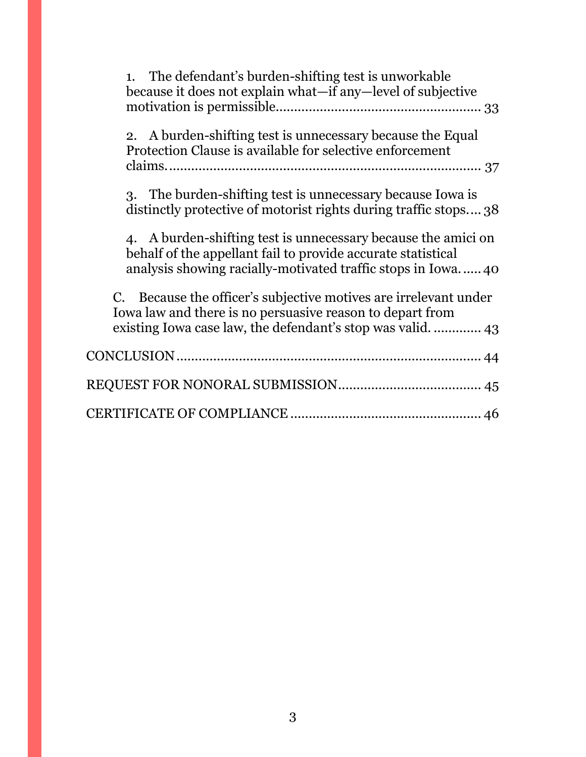| The defendant's burden-shifting test is unworkable<br>1.<br>because it does not explain what—if any—level of subjective                                                                      |
|----------------------------------------------------------------------------------------------------------------------------------------------------------------------------------------------|
| 2. A burden-shifting test is unnecessary because the Equal<br>Protection Clause is available for selective enforcement                                                                       |
| 3. The burden-shifting test is unnecessary because Iowa is<br>distinctly protective of motorist rights during traffic stops 38                                                               |
| 4. A burden-shifting test is unnecessary because the amici on<br>behalf of the appellant fail to provide accurate statistical<br>analysis showing racially-motivated traffic stops in Iowa40 |
| C. Because the officer's subjective motives are irrelevant under<br>Iowa law and there is no persuasive reason to depart from                                                                |
|                                                                                                                                                                                              |
|                                                                                                                                                                                              |
|                                                                                                                                                                                              |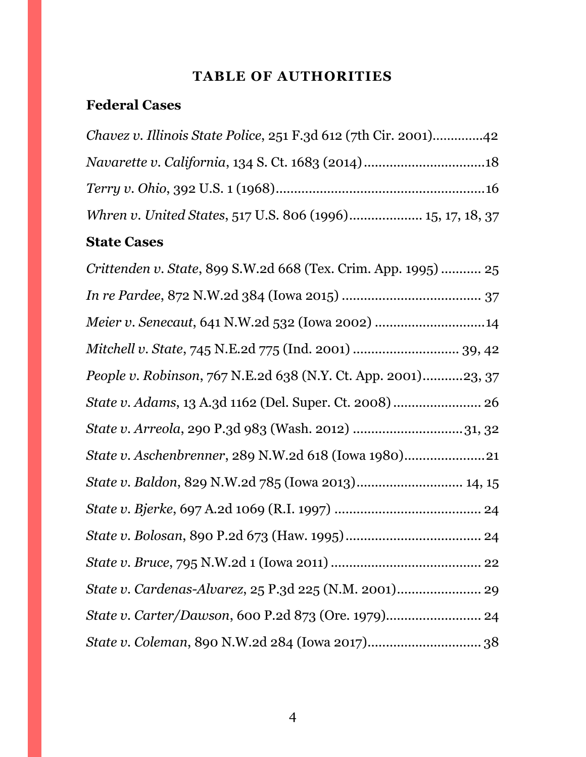# **TABLE OF AUTHORITIES**

# <span id="page-3-0"></span>**Federal Cases**

| <i>Chavez v. Illinois State Police, 251 F.3d 612 (7th Cir. 2001)42</i> |  |
|------------------------------------------------------------------------|--|
|                                                                        |  |
|                                                                        |  |
| Whren v. United States, 517 U.S. 806 (1996) 15, 17, 18, 37             |  |

# **State Cases**

| Crittenden v. State, 899 S.W.2d 668 (Tex. Crim. App. 1995)  25 |
|----------------------------------------------------------------|
|                                                                |
| Meier v. Senecaut, 641 N.W.2d 532 (Iowa 2002) 14               |
| Mitchell v. State, 745 N.E.2d 775 (Ind. 2001)  39, 42          |
| People v. Robinson, 767 N.E.2d 638 (N.Y. Ct. App. 2001)23, 37  |
| State v. Adams, 13 A.3d 1162 (Del. Super. Ct. 2008)  26        |
| State v. Arreola, 290 P.3d 983 (Wash. 2012) 31, 32             |
| State v. Aschenbrenner, 289 N.W.2d 618 (Iowa 1980)21           |
|                                                                |
|                                                                |
|                                                                |
|                                                                |
|                                                                |
|                                                                |
|                                                                |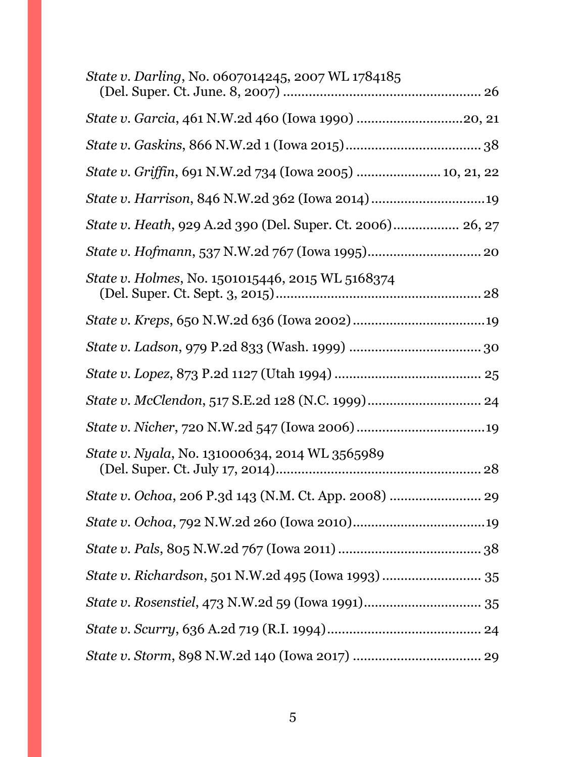| <i>State v. Darling, No. 0607014245, 2007 WL 1784185</i>          |
|-------------------------------------------------------------------|
| State v. Garcia, 461 N.W.2d 460 (Iowa 1990) 20, 21                |
|                                                                   |
| State v. Griffin, 691 N.W.2d 734 (Iowa 2005)  10, 21, 22          |
|                                                                   |
| <i>State v. Heath, 929 A.2d 390 (Del. Super. Ct. 2006) 26, 27</i> |
|                                                                   |
| State v. Holmes, No. 1501015446, 2015 WL 5168374                  |
|                                                                   |
|                                                                   |
|                                                                   |
|                                                                   |
|                                                                   |
| <i>State v. Nyala, No.</i> 131000634, 2014 WL 3565989             |
|                                                                   |
|                                                                   |
|                                                                   |
| State v. Richardson, 501 N.W.2d 495 (Iowa 1993)  35               |
|                                                                   |
|                                                                   |
|                                                                   |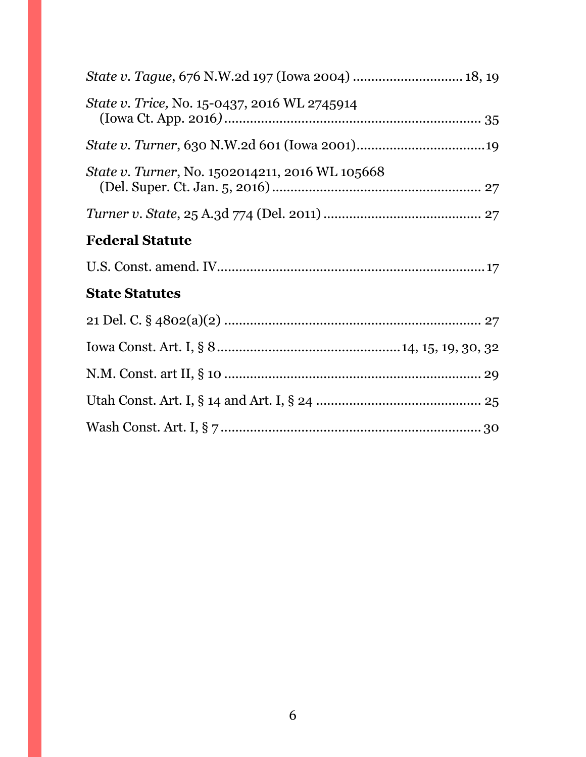| State v. Tague, 676 N.W.2d 197 (Iowa 2004)  18, 19     |
|--------------------------------------------------------|
| <i>State v. Trice, No.</i> 15-0437, 2016 WL 2745914    |
|                                                        |
| <i>State v. Turner, No.</i> 1502014211, 2016 WL 105668 |
|                                                        |
| <b>Federal Statute</b>                                 |
|                                                        |
| <b>State Statutes</b>                                  |
|                                                        |
|                                                        |
|                                                        |
|                                                        |
|                                                        |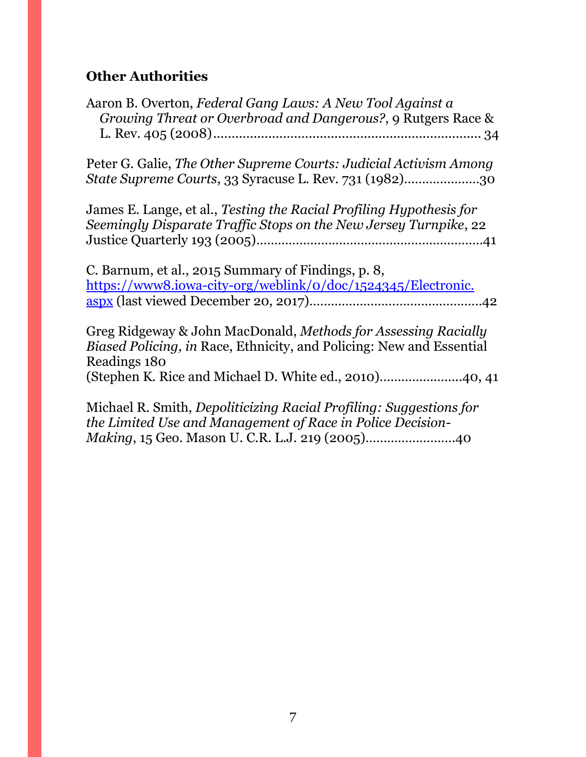# **Other Authorities**

| Aaron B. Overton, Federal Gang Laws: A New Tool Against a<br>Growing Threat or Overbroad and Dangerous?, 9 Rutgers Race &                                     |
|---------------------------------------------------------------------------------------------------------------------------------------------------------------|
| Peter G. Galie, The Other Supreme Courts: Judicial Activism Among<br>State Supreme Courts, 33 Syracuse L. Rev. 731 (1982)30                                   |
| James E. Lange, et al., Testing the Racial Profiling Hypothesis for<br>Seemingly Disparate Traffic Stops on the New Jersey Turnpike, 22                       |
| C. Barnum, et al., 2015 Summary of Findings, p. 8,<br>https://www8.iowa-city-org/weblink/0/doc/1524345/Electronic.                                            |
| Greg Ridgeway & John MacDonald, Methods for Assessing Racially<br><i>Biased Policing, in Race, Ethnicity, and Policing: New and Essential</i><br>Readings 180 |
| Michael R. Smith, Depoliticizing Racial Profiling: Suggestions for<br>the Limited Use and Management of Race in Police Decision-                              |

*Making*, 15 Geo. Mason U. C.R. L.J. 219 (2005)…………………….40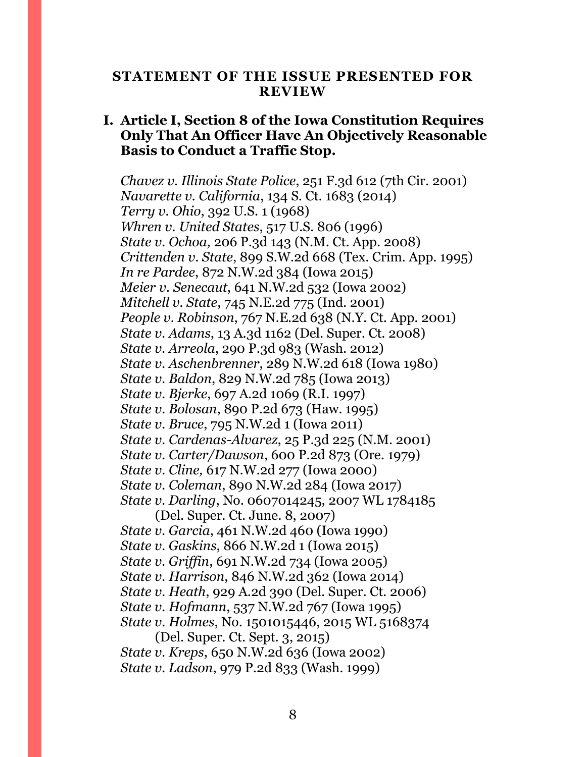#### <span id="page-7-0"></span>**STATEMENT OF THE ISSUE PRESENTED FOR REVIEW**

### **I. Article I, Section 8 of the Iowa Constitution Requires Only That An Officer Have An Objectively Reasonable Basis to Conduct a Traffic Stop.**

*Chavez v. Illinois State Police*, 251 F.3d 612 (7th Cir. 2001) *Navarette v. California*, 134 S. Ct. 1683 (2014) *Terry v. Ohio*, 392 U.S. 1 (1968) *Whren v. United States*, 517 U.S. 806 (1996) *State v. Ochoa,* 206 P.3d 143 (N.M. Ct. App. 2008) *Crittenden v. State*, 899 S.W.2d 668 (Tex. Crim. App. 1995) *In re Pardee*, 872 N.W.2d 384 (Iowa 2015) *Meier v. Senecaut*, 641 N.W.2d 532 (Iowa 2002) *Mitchell v. State*, 745 N.E.2d 775 (Ind. 2001) *People v. Robinson*, 767 N.E.2d 638 (N.Y. Ct. App. 2001) *State v. Adams*, 13 A.3d 1162 (Del. Super. Ct. 2008) *State v. Arreola*, 290 P.3d 983 (Wash. 2012) *State v. Aschenbrenner*, 289 N.W.2d 618 (Iowa 1980) *State v. Baldon*, 829 N.W.2d 785 (Iowa 2013) *State v. Bjerke*, 697 A.2d 1069 (R.I. 1997) *State v. Bolosan*, 890 P.2d 673 (Haw. 1995) *State v. Bruce*, 795 N.W.2d 1 (Iowa 2011) *State v. Cardenas-Alvarez*, 25 P.3d 225 (N.M. 2001) *State v. Carter/Dawson*, 600 P.2d 873 (Ore. 1979) *State v. Cline,* 617 N.W.2d 277 (Iowa 2000) *State v. Coleman*, 890 N.W.2d 284 (Iowa 2017) *State v. Darling*, No. 0607014245, 2007 WL 1784185

(Del. Super. Ct. June. 8, 2007) *State v. Garcia*, 461 N.W.2d 460 (Iowa 1990) *State v. Gaskins*, 866 N.W.2d 1 (Iowa 2015) *State v. Griffin*, 691 N.W.2d 734 (Iowa 2005) *State v. Harrison*, 846 N.W.2d 362 (Iowa 2014) *State v. Heath*, 929 A.2d 390 (Del. Super. Ct. 2006) *State v. Hofmann*, 537 N.W.2d 767 (Iowa 1995) *State v. Holmes*, No. 1501015446, 2015 WL 5168374 (Del. Super. Ct. Sept. 3, 2015)

*State v. Kreps*, 650 N.W.2d 636 (Iowa 2002) *State v. Ladson*, 979 P.2d 833 (Wash. 1999)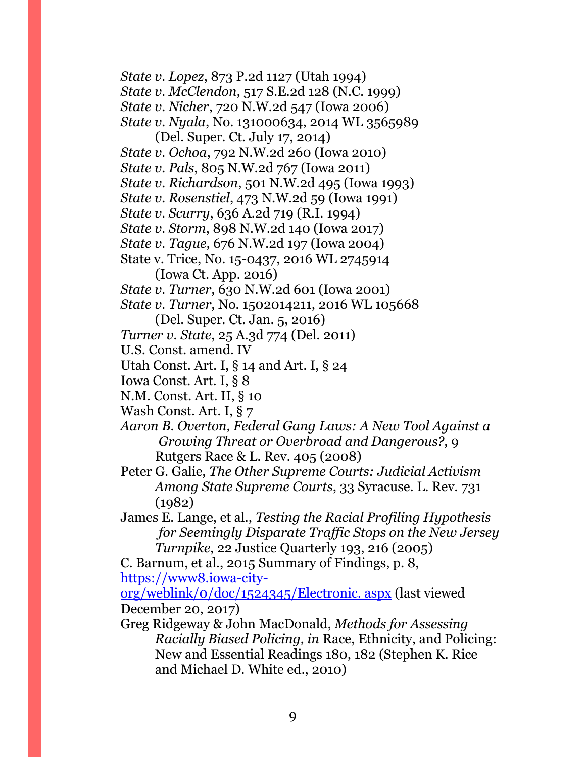*State v. Lopez*, 873 P.2d 1127 (Utah 1994) *State v. McClendon*, 517 S.E.2d 128 (N.C. 1999) *State v. Nicher*, 720 N.W.2d 547 (Iowa 2006) *State v. Nyala*, No. 131000634, 2014 WL 3565989

(Del. Super. Ct. July 17, 2014)

*State v. Ochoa*, 792 N.W.2d 260 (Iowa 2010)

*State v. Pals*, 805 N.W.2d 767 (Iowa 2011)

*State v. Richardson*, 501 N.W.2d 495 (Iowa 1993)

*State v. Rosenstiel*, 473 N.W.2d 59 (Iowa 1991)

*State v. Scurry*, 636 A.2d 719 (R.I. 1994)

*State v. Storm*, 898 N.W.2d 140 (Iowa 2017)

*State v. Tague*, 676 N.W.2d 197 (Iowa 2004)

State v. Trice, No. 15-0437, 2016 WL 2745914 (Iowa Ct. App. 2016)

*State v. Turner*, 630 N.W.2d 601 (Iowa 2001)

*State v. Turner*, No. 1502014211, 2016 WL 105668

(Del. Super. Ct. Jan. 5, 2016)

*Turner v. State*, 25 A.3d 774 (Del. 2011)

U.S. Const. amend. IV

Utah Const. Art. I, § 14 and Art. I, § 24

Iowa Const. Art. I, § 8

N.M. Const. Art. II, § 10

Wash Const. Art. I, § 7

*Aaron B. Overton, Federal Gang Laws: A New Tool Against a Growing Threat or Overbroad and Dangerous?*, 9 Rutgers Race & L. Rev. 405 (2008)

Peter G. Galie, *The Other Supreme Courts: Judicial Activism Among State Supreme Courts*, 33 Syracuse. L. Rev. 731 (1982)

James E. Lange, et al., *Testing the Racial Profiling Hypothesis for Seemingly Disparate Traffic Stops on the New Jersey Turnpike*, 22 Justice Quarterly 193, 216 (2005)

C. Barnum, et al., 2015 Summary of Findings, p. 8, [https://www8.iowa-city-](https://www8.iowa-city-org/weblink/0/doc/1524345/Electronic.%20aspx)

[org/weblink/0/doc/1524345/Electronic. aspx](https://www8.iowa-city-org/weblink/0/doc/1524345/Electronic.%20aspx) (last viewed December 20, 2017)

Greg Ridgeway & John MacDonald, *Methods for Assessing Racially Biased Policing, in* Race, Ethnicity, and Policing: New and Essential Readings 180, 182 (Stephen K. Rice and Michael D. White ed., 2010)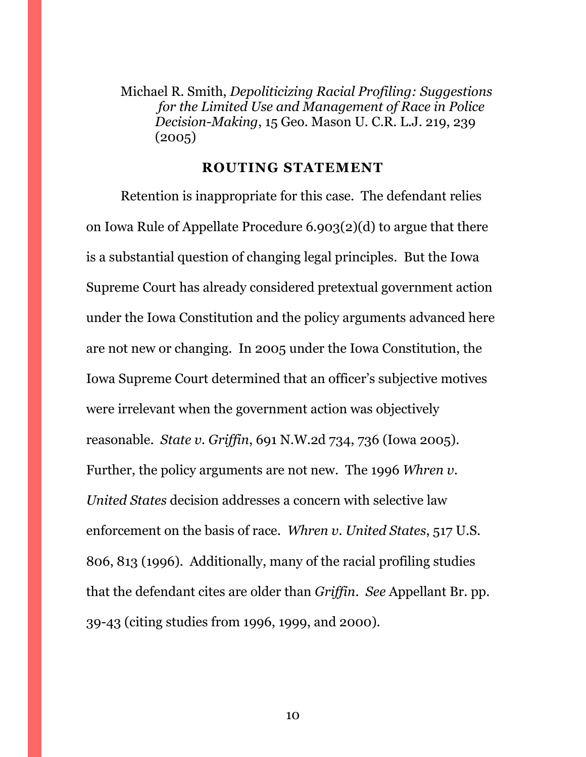Michael R. Smith, *Depoliticizing Racial Profiling: Suggestions for the Limited Use and Management of Race in Police Decision-Making*, 15 Geo. Mason U. C.R. L.J. 219, 239 (2005)

#### **ROUTING STATEMENT**

<span id="page-9-0"></span>Retention is inappropriate for this case. The defendant relies on Iowa Rule of Appellate Procedure 6.903(2)(d) to argue that there is a substantial question of changing legal principles. But the Iowa Supreme Court has already considered pretextual government action under the Iowa Constitution and the policy arguments advanced here are not new or changing. In 2005 under the Iowa Constitution, the Iowa Supreme Court determined that an officer's subjective motives were irrelevant when the government action was objectively reasonable. *State v. Griffin*, 691 N.W.2d 734, 736 (Iowa 2005). Further, the policy arguments are not new. The 1996 *Whren v. United States* decision addresses a concern with selective law enforcement on the basis of race. *Whren v. United States*, 517 U.S. 806, 813 (1996). Additionally, many of the racial profiling studies that the defendant cites are older than *Griffin*. *See* Appellant Br. pp. 39-43 (citing studies from 1996, 1999, and 2000).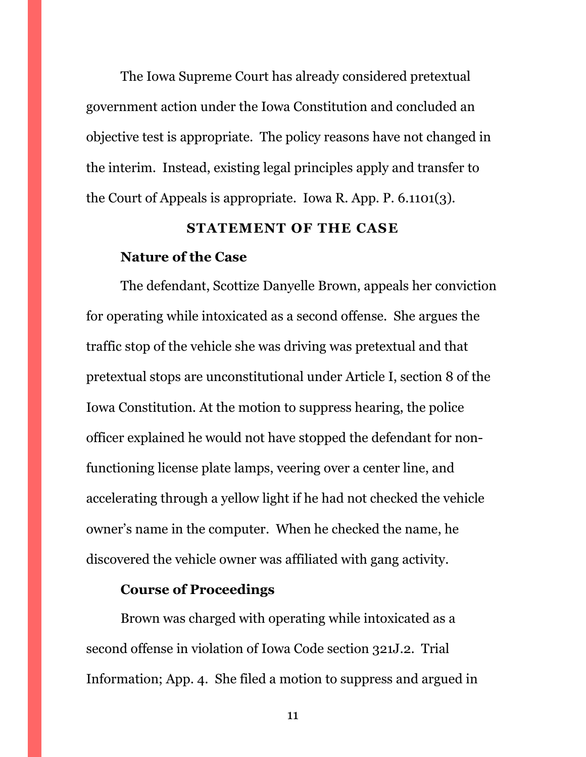The Iowa Supreme Court has already considered pretextual government action under the Iowa Constitution and concluded an objective test is appropriate. The policy reasons have not changed in the interim. Instead, existing legal principles apply and transfer to the Court of Appeals is appropriate. Iowa R. App. P. 6.1101(3).

#### **STATEMENT OF THE CASE**

#### <span id="page-10-0"></span>**Nature of the Case**

The defendant, Scottize Danyelle Brown, appeals her conviction for operating while intoxicated as a second offense. She argues the traffic stop of the vehicle she was driving was pretextual and that pretextual stops are unconstitutional under Article I, section 8 of the Iowa Constitution. At the motion to suppress hearing, the police officer explained he would not have stopped the defendant for nonfunctioning license plate lamps, veering over a center line, and accelerating through a yellow light if he had not checked the vehicle owner's name in the computer. When he checked the name, he discovered the vehicle owner was affiliated with gang activity.

### **Course of Proceedings**

Brown was charged with operating while intoxicated as a second offense in violation of Iowa Code section 321J.2. Trial Information; App. 4. She filed a motion to suppress and argued in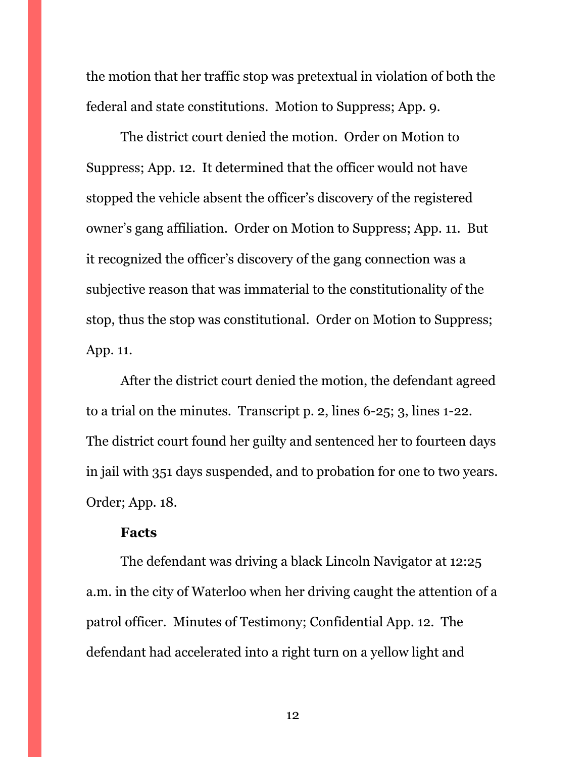the motion that her traffic stop was pretextual in violation of both the federal and state constitutions. Motion to Suppress; App. 9.

The district court denied the motion. Order on Motion to Suppress; App. 12. It determined that the officer would not have stopped the vehicle absent the officer's discovery of the registered owner's gang affiliation. Order on Motion to Suppress; App. 11. But it recognized the officer's discovery of the gang connection was a subjective reason that was immaterial to the constitutionality of the stop, thus the stop was constitutional. Order on Motion to Suppress; App. 11.

After the district court denied the motion, the defendant agreed to a trial on the minutes. Transcript p. 2, lines 6-25; 3, lines 1-22. The district court found her guilty and sentenced her to fourteen days in jail with 351 days suspended, and to probation for one to two years. Order; App. 18.

#### **Facts**

The defendant was driving a black Lincoln Navigator at 12:25 a.m. in the city of Waterloo when her driving caught the attention of a patrol officer. Minutes of Testimony; Confidential App. 12. The defendant had accelerated into a right turn on a yellow light and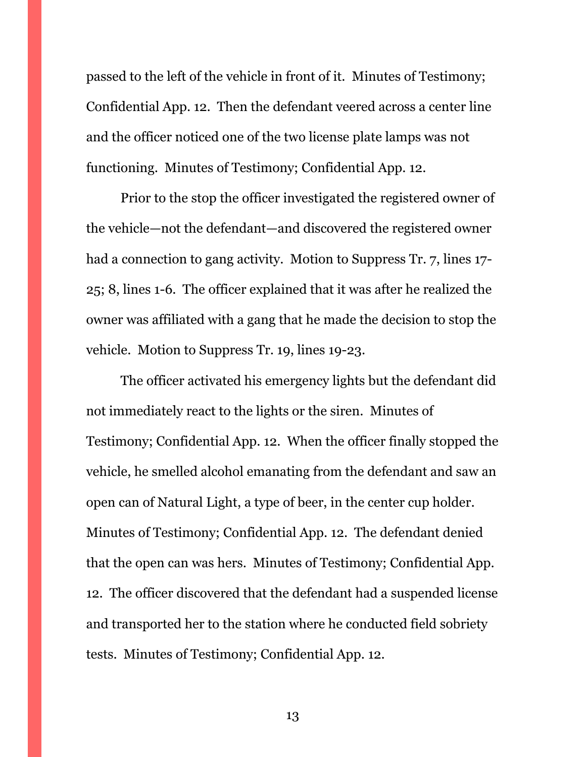passed to the left of the vehicle in front of it. Minutes of Testimony; Confidential App. 12. Then the defendant veered across a center line and the officer noticed one of the two license plate lamps was not functioning. Minutes of Testimony; Confidential App. 12.

Prior to the stop the officer investigated the registered owner of the vehicle—not the defendant—and discovered the registered owner had a connection to gang activity. Motion to Suppress Tr. 7, lines 17- 25; 8, lines 1-6. The officer explained that it was after he realized the owner was affiliated with a gang that he made the decision to stop the vehicle. Motion to Suppress Tr. 19, lines 19-23.

The officer activated his emergency lights but the defendant did not immediately react to the lights or the siren. Minutes of Testimony; Confidential App. 12. When the officer finally stopped the vehicle, he smelled alcohol emanating from the defendant and saw an open can of Natural Light, a type of beer, in the center cup holder. Minutes of Testimony; Confidential App. 12. The defendant denied that the open can was hers. Minutes of Testimony; Confidential App. 12. The officer discovered that the defendant had a suspended license and transported her to the station where he conducted field sobriety tests. Minutes of Testimony; Confidential App. 12.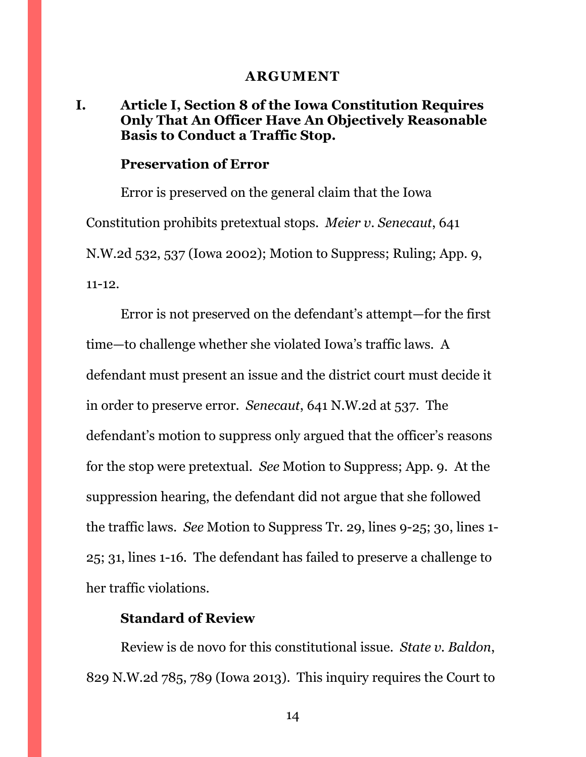#### **ARGUMENT**

### <span id="page-13-1"></span><span id="page-13-0"></span>**I. Article I, Section 8 of the Iowa Constitution Requires Only That An Officer Have An Objectively Reasonable Basis to Conduct a Traffic Stop.**

#### **Preservation of Error**

Error is preserved on the general claim that the Iowa Constitution prohibits pretextual stops. *Meier v. Senecaut*, 641 N.W.2d 532, 537 (Iowa 2002); Motion to Suppress; Ruling; App. 9, 11-12.

Error is not preserved on the defendant's attempt—for the first time—to challenge whether she violated Iowa's traffic laws. A defendant must present an issue and the district court must decide it in order to preserve error. *Senecaut*, 641 N.W.2d at 537. The defendant's motion to suppress only argued that the officer's reasons for the stop were pretextual. *See* Motion to Suppress; App. 9. At the suppression hearing, the defendant did not argue that she followed the traffic laws. *See* Motion to Suppress Tr. 29, lines 9-25; 30, lines 1- 25; 31, lines 1-16. The defendant has failed to preserve a challenge to her traffic violations.

#### **Standard of Review**

Review is de novo for this constitutional issue. *State v. Baldon*, 829 N.W.2d 785, 789 (Iowa 2013). This inquiry requires the Court to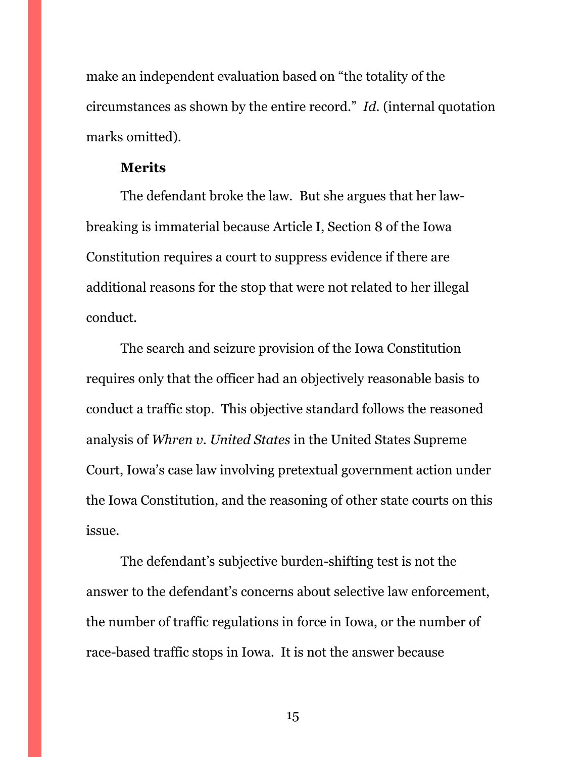make an independent evaluation based on "the totality of the circumstances as shown by the entire record." *Id.* (internal quotation marks omitted).

### **Merits**

The defendant broke the law. But she argues that her lawbreaking is immaterial because Article I, Section 8 of the Iowa Constitution requires a court to suppress evidence if there are additional reasons for the stop that were not related to her illegal conduct.

The search and seizure provision of the Iowa Constitution requires only that the officer had an objectively reasonable basis to conduct a traffic stop. This objective standard follows the reasoned analysis of *Whren v. United States* in the United States Supreme Court, Iowa's case law involving pretextual government action under the Iowa Constitution, and the reasoning of other state courts on this issue.

The defendant's subjective burden-shifting test is not the answer to the defendant's concerns about selective law enforcement, the number of traffic regulations in force in Iowa, or the number of race-based traffic stops in Iowa. It is not the answer because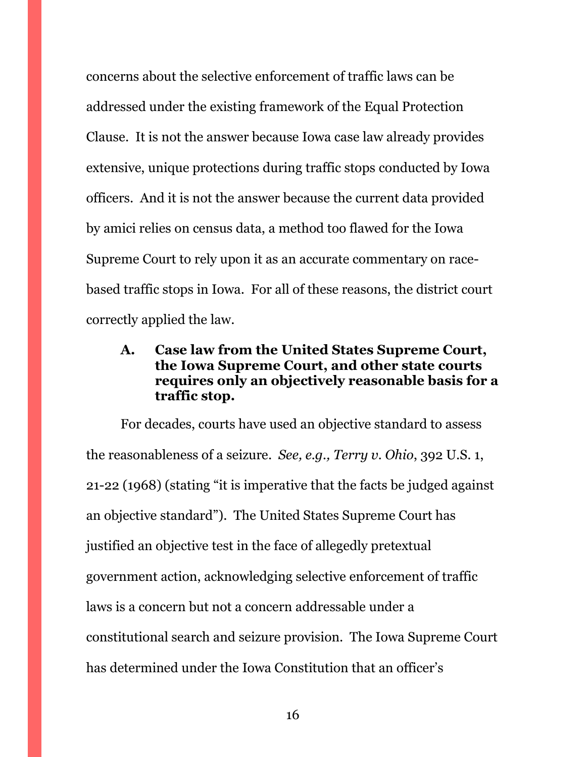concerns about the selective enforcement of traffic laws can be addressed under the existing framework of the Equal Protection Clause. It is not the answer because Iowa case law already provides extensive, unique protections during traffic stops conducted by Iowa officers. And it is not the answer because the current data provided by amici relies on census data, a method too flawed for the Iowa Supreme Court to rely upon it as an accurate commentary on racebased traffic stops in Iowa. For all of these reasons, the district court correctly applied the law.

### <span id="page-15-0"></span>**A. Case law from the United States Supreme Court, the Iowa Supreme Court, and other state courts requires only an objectively reasonable basis for a traffic stop.**

For decades, courts have used an objective standard to assess the reasonableness of a seizure. *See, e.g., Terry v. Ohio*, 392 U.S. 1, 21-22 (1968) (stating "it is imperative that the facts be judged against an objective standard"). The United States Supreme Court has justified an objective test in the face of allegedly pretextual government action, acknowledging selective enforcement of traffic laws is a concern but not a concern addressable under a constitutional search and seizure provision. The Iowa Supreme Court has determined under the Iowa Constitution that an officer's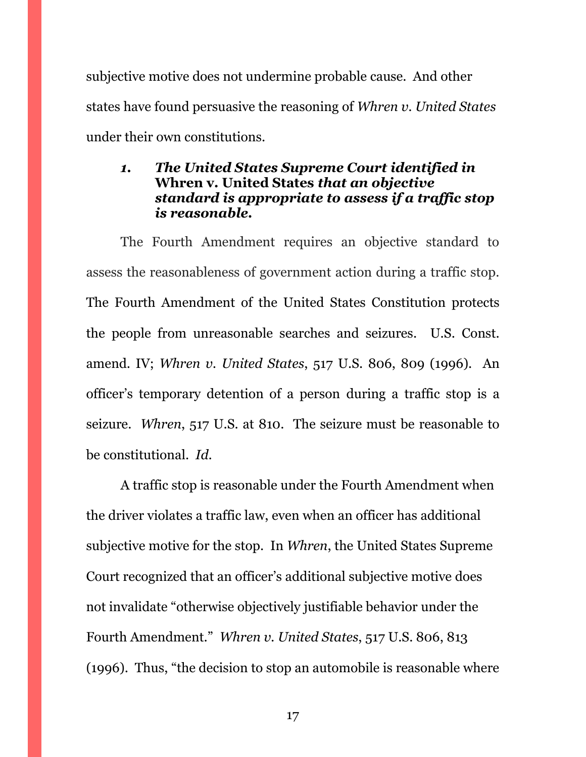subjective motive does not undermine probable cause. And other states have found persuasive the reasoning of *Whren v. United States* under their own constitutions.

### <span id="page-16-0"></span>*1. The United States Supreme Court identified in*  **Whren v. United States** *that an objective standard is appropriate to assess if a traffic stop is reasonable.*

The Fourth Amendment requires an objective standard to assess the reasonableness of government action during a traffic stop. The Fourth Amendment of the United States Constitution protects the people from unreasonable searches and seizures. U.S. Const. amend. IV; *Whren v. United States*, 517 U.S. 806, 809 (1996). An officer's temporary detention of a person during a traffic stop is a seizure. *Whren*, 517 U.S. at 810. The seizure must be reasonable to be constitutional. *Id.*

A traffic stop is reasonable under the Fourth Amendment when the driver violates a traffic law, even when an officer has additional subjective motive for the stop. In *Whren*, the United States Supreme Court recognized that an officer's additional subjective motive does not invalidate "otherwise objectively justifiable behavior under the Fourth Amendment." *Whren v. United States*, 517 U.S. 806, 813 (1996). Thus, "the decision to stop an automobile is reasonable where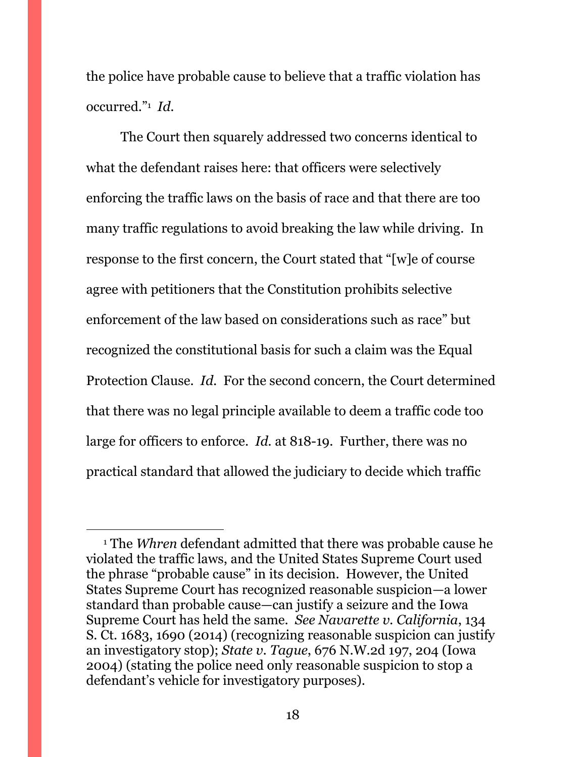the police have probable cause to believe that a traffic violation has occurred."<sup>1</sup> *Id.* 

The Court then squarely addressed two concerns identical to what the defendant raises here: that officers were selectively enforcing the traffic laws on the basis of race and that there are too many traffic regulations to avoid breaking the law while driving. In response to the first concern, the Court stated that "[w]e of course agree with petitioners that the Constitution prohibits selective enforcement of the law based on considerations such as race" but recognized the constitutional basis for such a claim was the Equal Protection Clause. *Id.* For the second concern, the Court determined that there was no legal principle available to deem a traffic code too large for officers to enforce. *Id.* at 818-19. Further, there was no practical standard that allowed the judiciary to decide which traffic

 $\overline{a}$ 

<sup>1</sup> The *Whren* defendant admitted that there was probable cause he violated the traffic laws, and the United States Supreme Court used the phrase "probable cause" in its decision. However, the United States Supreme Court has recognized reasonable suspicion—a lower standard than probable cause—can justify a seizure and the Iowa Supreme Court has held the same. *See Navarette v. California*, 134 S. Ct. 1683, 1690 (2014) (recognizing reasonable suspicion can justify an investigatory stop); *State v. Tague*, 676 N.W.2d 197, 204 (Iowa 2004) (stating the police need only reasonable suspicion to stop a defendant's vehicle for investigatory purposes).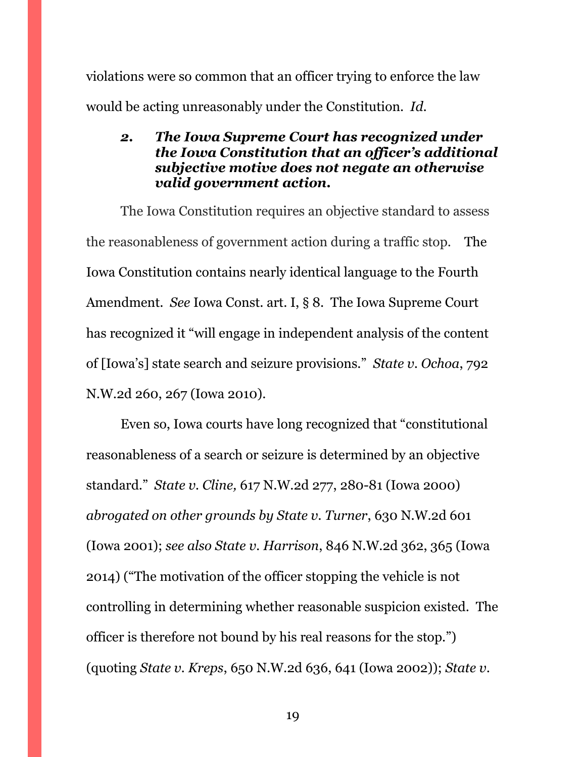violations were so common that an officer trying to enforce the law would be acting unreasonably under the Constitution. *Id.* 

### <span id="page-18-0"></span>*2. The Iowa Supreme Court has recognized under the Iowa Constitution that an officer's additional subjective motive does not negate an otherwise valid government action.*

The Iowa Constitution requires an objective standard to assess the reasonableness of government action during a traffic stop. The Iowa Constitution contains nearly identical language to the Fourth Amendment. *See* Iowa Const. art. I, § 8. The Iowa Supreme Court has recognized it "will engage in independent analysis of the content of [Iowa's] state search and seizure provisions." *State v. Ochoa*, 792 N.W.2d 260, 267 (Iowa 2010).

Even so, Iowa courts have long recognized that "constitutional reasonableness of a search or seizure is determined by an objective standard." *State v. Cline,* 617 N.W.2d 277, 280-81 (Iowa 2000) *abrogated on other grounds by State v. Turner*, 630 N.W.2d 601 (Iowa 2001); *see also State v. Harrison*, 846 N.W.2d 362, 365 (Iowa 2014) ("The motivation of the officer stopping the vehicle is not controlling in determining whether reasonable suspicion existed. The officer is therefore not bound by his real reasons for the stop.") (quoting *State v. Kreps*, 650 N.W.2d 636, 641 (Iowa 2002)); *State v.*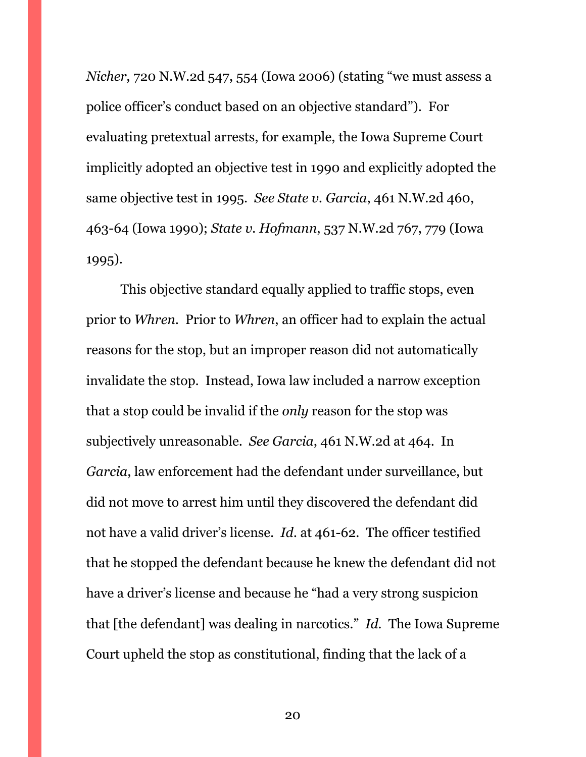*Nicher*, 720 N.W.2d 547, 554 (Iowa 2006) (stating "we must assess a police officer's conduct based on an objective standard"). For evaluating pretextual arrests, for example, the Iowa Supreme Court implicitly adopted an objective test in 1990 and explicitly adopted the same objective test in 1995. *See State v. Garcia*, 461 N.W.2d 460, 463-64 (Iowa 1990); *State v. Hofmann*, 537 N.W.2d 767, 779 (Iowa 1995).

This objective standard equally applied to traffic stops, even prior to *Whren*. Prior to *Whren*, an officer had to explain the actual reasons for the stop, but an improper reason did not automatically invalidate the stop. Instead, Iowa law included a narrow exception that a stop could be invalid if the *only* reason for the stop was subjectively unreasonable. *See Garcia*, 461 N.W.2d at 464. In *Garcia*, law enforcement had the defendant under surveillance, but did not move to arrest him until they discovered the defendant did not have a valid driver's license. *Id.* at 461-62. The officer testified that he stopped the defendant because he knew the defendant did not have a driver's license and because he "had a very strong suspicion that [the defendant] was dealing in narcotics." *Id.* The Iowa Supreme Court upheld the stop as constitutional, finding that the lack of a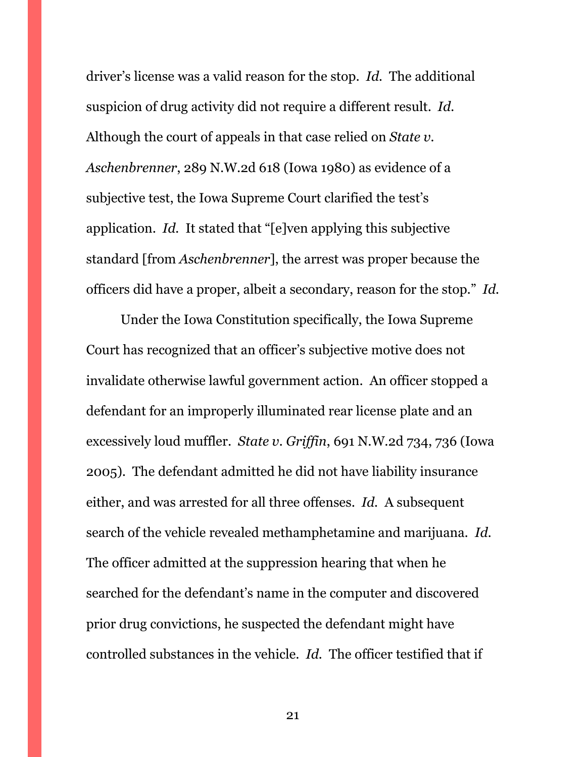driver's license was a valid reason for the stop. *Id.* The additional suspicion of drug activity did not require a different result. *Id.* Although the court of appeals in that case relied on *State v. Aschenbrenner*, 289 N.W.2d 618 (Iowa 1980) as evidence of a subjective test, the Iowa Supreme Court clarified the test's application. *Id.* It stated that "[e]ven applying this subjective standard [from *Aschenbrenner*], the arrest was proper because the officers did have a proper, albeit a secondary, reason for the stop." *Id.*

Under the Iowa Constitution specifically, the Iowa Supreme Court has recognized that an officer's subjective motive does not invalidate otherwise lawful government action. An officer stopped a defendant for an improperly illuminated rear license plate and an excessively loud muffler. *State v. Griffin*, 691 N.W.2d 734, 736 (Iowa 2005). The defendant admitted he did not have liability insurance either, and was arrested for all three offenses. *Id.* A subsequent search of the vehicle revealed methamphetamine and marijuana. *Id.* The officer admitted at the suppression hearing that when he searched for the defendant's name in the computer and discovered prior drug convictions, he suspected the defendant might have controlled substances in the vehicle. *Id.* The officer testified that if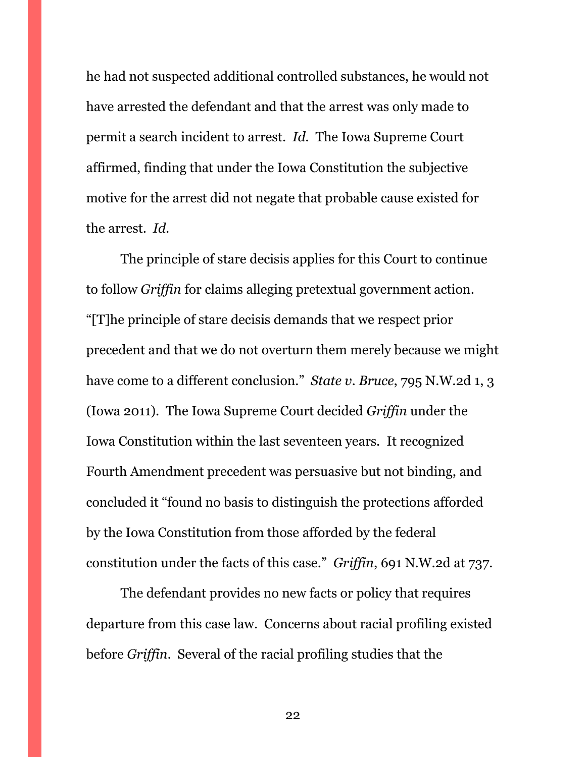he had not suspected additional controlled substances, he would not have arrested the defendant and that the arrest was only made to permit a search incident to arrest. *Id.* The Iowa Supreme Court affirmed, finding that under the Iowa Constitution the subjective motive for the arrest did not negate that probable cause existed for the arrest. *Id.*

The principle of stare decisis applies for this Court to continue to follow *Griffin* for claims alleging pretextual government action. "[T]he principle of stare decisis demands that we respect prior precedent and that we do not overturn them merely because we might have come to a different conclusion." *State v. Bruce*, 795 N.W.2d 1, 3 (Iowa 2011). The Iowa Supreme Court decided *Griffin* under the Iowa Constitution within the last seventeen years. It recognized Fourth Amendment precedent was persuasive but not binding, and concluded it "found no basis to distinguish the protections afforded by the Iowa Constitution from those afforded by the federal constitution under the facts of this case." *Griffin*, 691 N.W.2d at 737.

The defendant provides no new facts or policy that requires departure from this case law. Concerns about racial profiling existed before *Griffin*. Several of the racial profiling studies that the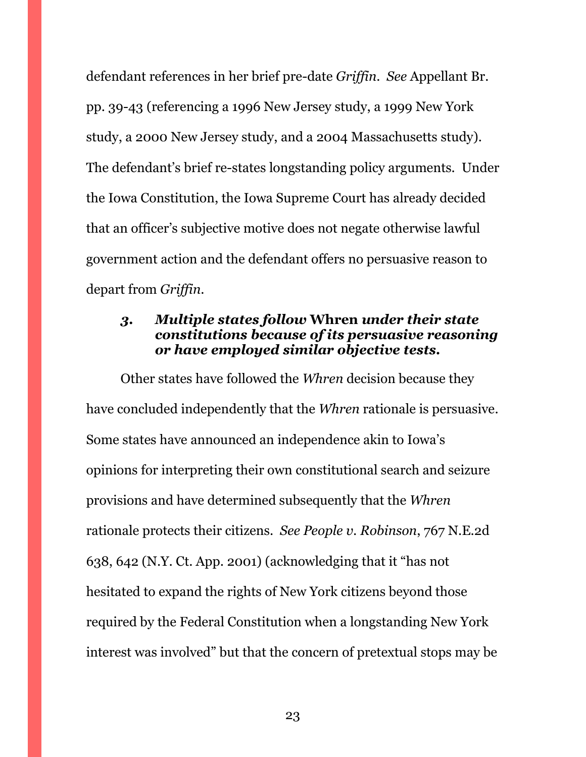defendant references in her brief pre-date *Griffin*. *See* Appellant Br. pp. 39-43 (referencing a 1996 New Jersey study, a 1999 New York study, a 2000 New Jersey study, and a 2004 Massachusetts study). The defendant's brief re-states longstanding policy arguments. Under the Iowa Constitution, the Iowa Supreme Court has already decided that an officer's subjective motive does not negate otherwise lawful government action and the defendant offers no persuasive reason to depart from *Griffin*.

### <span id="page-22-0"></span>*3. Multiple states follow* **Whren** *under their state constitutions because of its persuasive reasoning or have employed similar objective tests.*

Other states have followed the *Whren* decision because they have concluded independently that the *Whren* rationale is persuasive. Some states have announced an independence akin to Iowa's opinions for interpreting their own constitutional search and seizure provisions and have determined subsequently that the *Whren* rationale protects their citizens. *See People v. Robinson*, 767 N.E.2d 638, 642 (N.Y. Ct. App. 2001) (acknowledging that it "has not hesitated to expand the rights of New York citizens beyond those required by the Federal Constitution when a longstanding New York interest was involved" but that the concern of pretextual stops may be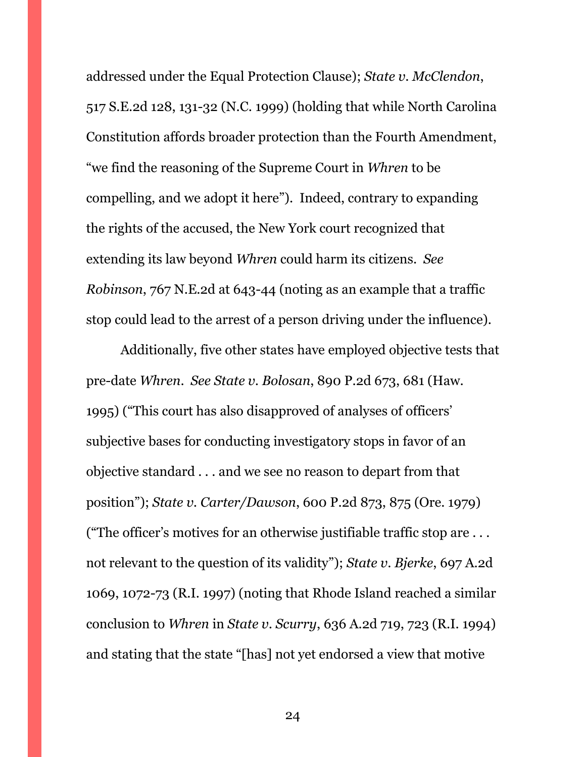addressed under the Equal Protection Clause); *State v. McClendon*, 517 S.E.2d 128, 131-32 (N.C. 1999) (holding that while North Carolina Constitution affords broader protection than the Fourth Amendment, "we find the reasoning of the Supreme Court in *Whren* to be compelling, and we adopt it here"). Indeed, contrary to expanding the rights of the accused, the New York court recognized that extending its law beyond *Whren* could harm its citizens. *See Robinson*, 767 N.E.2d at 643-44 (noting as an example that a traffic stop could lead to the arrest of a person driving under the influence).

Additionally, five other states have employed objective tests that pre-date *Whren*. *See State v. Bolosan*, 890 P.2d 673, 681 (Haw. 1995) ("This court has also disapproved of analyses of officers' subjective bases for conducting investigatory stops in favor of an objective standard . . . and we see no reason to depart from that position"); *State v. Carter/Dawson*, 600 P.2d 873, 875 (Ore. 1979) ("The officer's motives for an otherwise justifiable traffic stop are . . . not relevant to the question of its validity"); *State v. Bjerke*, 697 A.2d 1069, 1072-73 (R.I. 1997) (noting that Rhode Island reached a similar conclusion to *Whren* in *State v. Scurry*, 636 A.2d 719, 723 (R.I. 1994) and stating that the state "[has] not yet endorsed a view that motive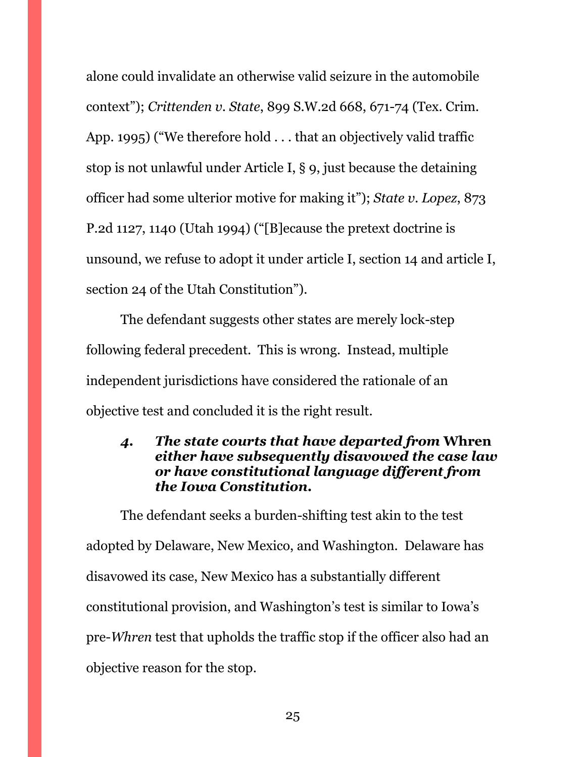alone could invalidate an otherwise valid seizure in the automobile context"); *Crittenden v. State*, 899 S.W.2d 668, 671-74 (Tex. Crim. App. 1995) ("We therefore hold . . . that an objectively valid traffic stop is not unlawful under Article I, § 9, just because the detaining officer had some ulterior motive for making it"); *State v. Lopez*, 873 P.2d 1127, 1140 (Utah 1994) ("[B]ecause the pretext doctrine is unsound, we refuse to adopt it under article I, section 14 and article I, section 24 of the Utah Constitution").

The defendant suggests other states are merely lock-step following federal precedent. This is wrong. Instead, multiple independent jurisdictions have considered the rationale of an objective test and concluded it is the right result.

### <span id="page-24-0"></span>*4. The state courts that have departed from* **Whren**  *either have subsequently disavowed the case law or have constitutional language different from the Iowa Constitution.*

The defendant seeks a burden-shifting test akin to the test adopted by Delaware, New Mexico, and Washington. Delaware has disavowed its case, New Mexico has a substantially different constitutional provision, and Washington's test is similar to Iowa's pre-*Whren* test that upholds the traffic stop if the officer also had an objective reason for the stop.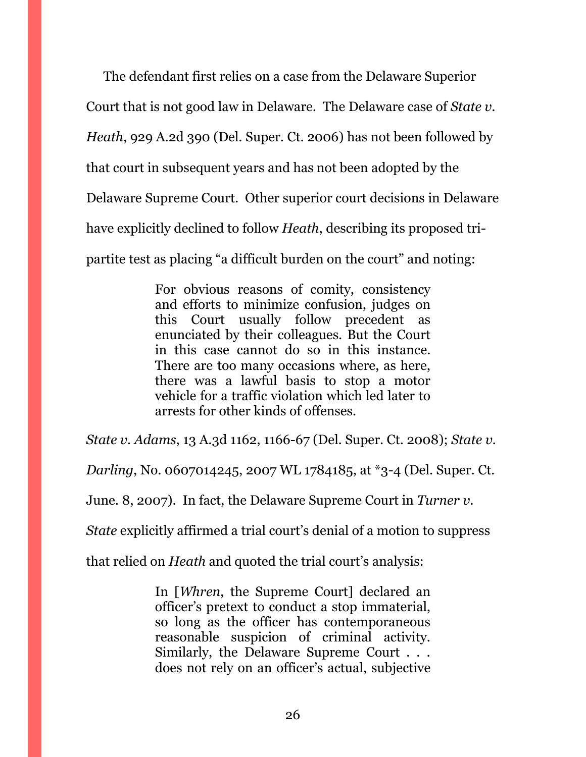The defendant first relies on a case from the Delaware Superior Court that is not good law in Delaware. The Delaware case of *State v. Heath*, 929 A.2d 390 (Del. Super. Ct. 2006) has not been followed by that court in subsequent years and has not been adopted by the Delaware Supreme Court. Other superior court decisions in Delaware have explicitly declined to follow *Heath*, describing its proposed tripartite test as placing "a difficult burden on the court" and noting:

> For obvious reasons of comity, consistency and efforts to minimize confusion, judges on this Court usually follow precedent as enunciated by their colleagues. But the Court in this case cannot do so in this instance. There are too many occasions where, as here, there was a lawful basis to stop a motor vehicle for a traffic violation which led later to arrests for other kinds of offenses.

*State v. Adams*, 13 A.3d 1162, 1166-67 (Del. Super. Ct. 2008); *State v.* 

*Darling*, No. 0607014245, 2007 WL 1784185, at \*3-4 (Del. Super. Ct.

June. 8, 2007). In fact, the Delaware Supreme Court in *Turner v.* 

*State* explicitly affirmed a trial court's denial of a motion to suppress

that relied on *Heath* and quoted the trial court's analysis:

In [*Whren*, the Supreme Court] declared an officer's pretext to conduct a stop immaterial, so long as the officer has contemporaneous reasonable suspicion of criminal activity. Similarly, the Delaware Supreme Court . . . does not rely on an officer's actual, subjective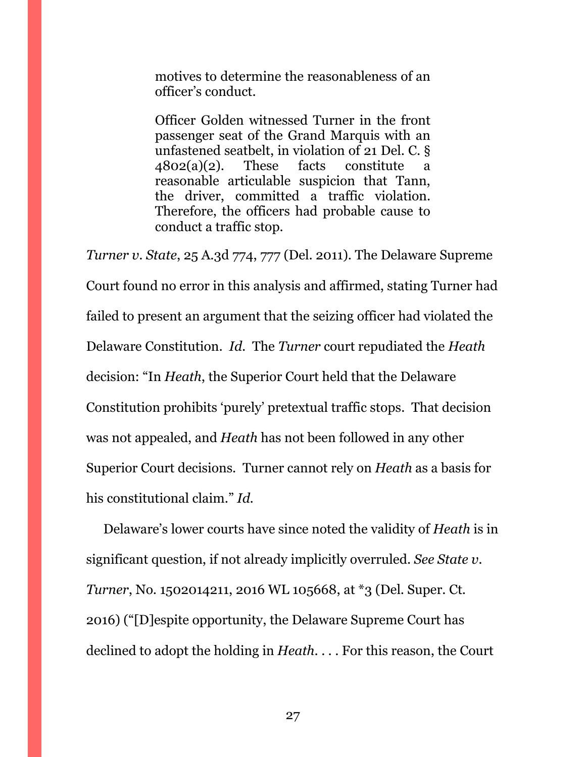motives to determine the reasonableness of an officer's conduct.

Officer Golden witnessed Turner in the front passenger seat of the Grand Marquis with an unfastened seatbelt, in violation of 21 Del. C. § 4802(a)(2). These facts constitute a reasonable articulable suspicion that Tann, the driver, committed a traffic violation. Therefore, the officers had probable cause to conduct a traffic stop.

*Turner v. State*, 25 A.3d 774, 777 (Del. 2011). The Delaware Supreme Court found no error in this analysis and affirmed, stating Turner had failed to present an argument that the seizing officer had violated the Delaware Constitution. *Id.* The *Turner* court repudiated the *Heath*  decision: "In *Heath*, the Superior Court held that the Delaware Constitution prohibits 'purely' pretextual traffic stops. That decision was not appealed, and *Heath* has not been followed in any other Superior Court decisions. Turner cannot rely on *Heath* as a basis for his constitutional claim." *Id.* 

Delaware's lower courts have since noted the validity of *Heath* is in significant question, if not already implicitly overruled. *See State v. Turner*, No. 1502014211, 2016 WL 105668, at \*3 (Del. Super. Ct. 2016) ("[D]espite opportunity, the Delaware Supreme Court has declined to adopt the holding in *Heath*. . . . For this reason, the Court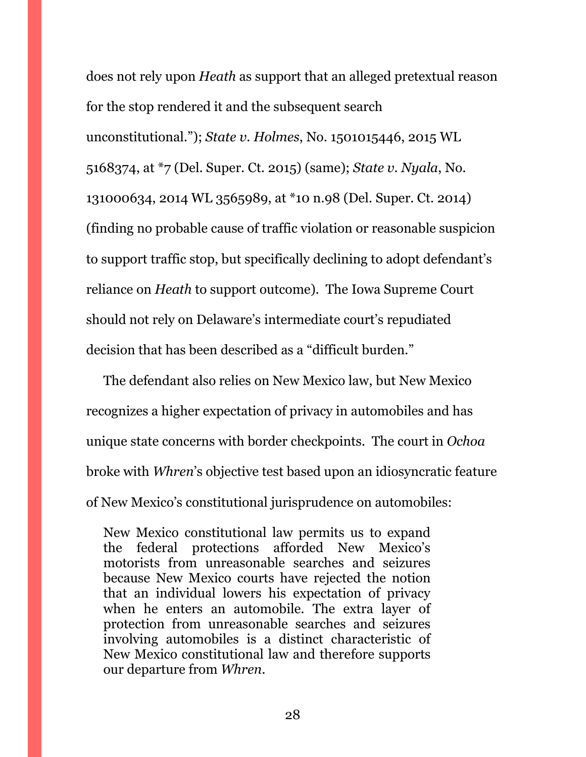does not rely upon *Heath* as support that an alleged pretextual reason for the stop rendered it and the subsequent search unconstitutional."); *State v. Holmes*, No. 1501015446, 2015 WL 5168374, at \*7 (Del. Super. Ct. 2015) (same); *State v. Nyala*, No. 131000634, 2014 WL 3565989, at \*10 n.98 (Del. Super. Ct. 2014) (finding no probable cause of traffic violation or reasonable suspicion to support traffic stop, but specifically declining to adopt defendant's reliance on *Heath* to support outcome). The Iowa Supreme Court should not rely on Delaware's intermediate court's repudiated decision that has been described as a "difficult burden."

The defendant also relies on New Mexico law, but New Mexico recognizes a higher expectation of privacy in automobiles and has unique state concerns with border checkpoints. The court in *Ochoa* broke with *Whren*'s objective test based upon an idiosyncratic feature of New Mexico's constitutional jurisprudence on automobiles:

New Mexico constitutional law permits us to expand the federal protections afforded New Mexico's motorists from unreasonable searches and seizures because New Mexico courts have rejected the notion that an individual lowers his expectation of privacy when he enters an automobile. The extra layer of protection from unreasonable searches and seizures involving automobiles is a distinct characteristic of New Mexico constitutional law and therefore supports our departure from *Whren*.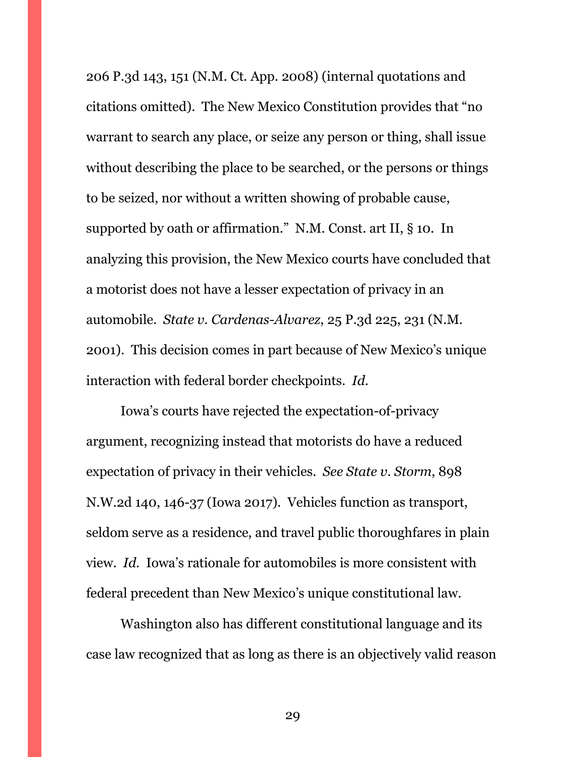206 P.3d 143, 151 (N.M. Ct. App. 2008) (internal quotations and citations omitted). The New Mexico Constitution provides that "no warrant to search any place, or seize any person or thing, shall issue without describing the place to be searched, or the persons or things to be seized, nor without a written showing of probable cause, supported by oath or affirmation." N.M. Const. art II, § 10. In analyzing this provision, the New Mexico courts have concluded that a motorist does not have a lesser expectation of privacy in an automobile. *State v. Cardenas-Alvarez*, 25 P.3d 225, 231 (N.M. 2001). This decision comes in part because of New Mexico's unique interaction with federal border checkpoints. *Id.*

Iowa's courts have rejected the expectation-of-privacy argument, recognizing instead that motorists do have a reduced expectation of privacy in their vehicles. *See State v. Storm*, 898 N.W.2d 140, 146-37 (Iowa 2017). Vehicles function as transport, seldom serve as a residence, and travel public thoroughfares in plain view. *Id.* Iowa's rationale for automobiles is more consistent with federal precedent than New Mexico's unique constitutional law.

Washington also has different constitutional language and its case law recognized that as long as there is an objectively valid reason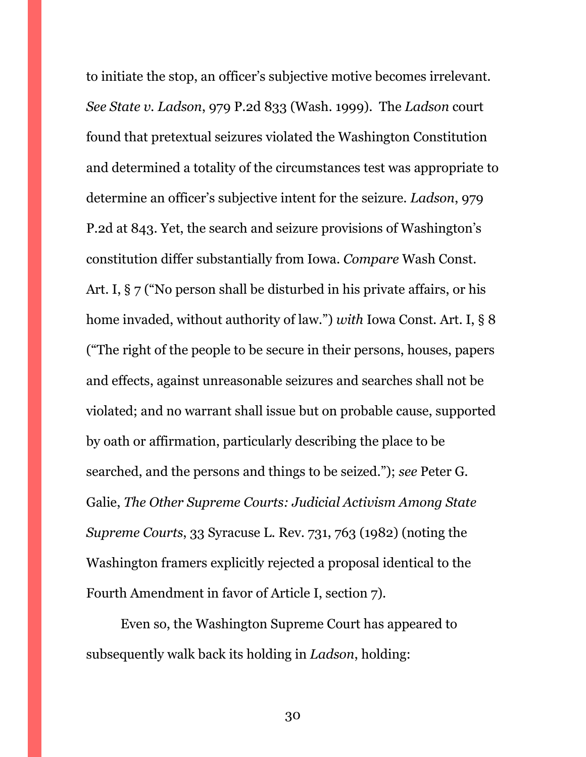to initiate the stop, an officer's subjective motive becomes irrelevant. *See State v. Ladson*, 979 P.2d 833 (Wash. 1999). The *Ladson* court found that pretextual seizures violated the Washington Constitution and determined a totality of the circumstances test was appropriate to determine an officer's subjective intent for the seizure. *Ladson*, 979 P.2d at 843. Yet, the search and seizure provisions of Washington's constitution differ substantially from Iowa. *Compare* Wash Const. Art. I, § 7 ("No person shall be disturbed in his private affairs, or his home invaded, without authority of law.") *with* Iowa Const. Art. I, § 8 ("The right of the people to be secure in their persons, houses, papers and effects, against unreasonable seizures and searches shall not be violated; and no warrant shall issue but on probable cause, supported by oath or affirmation, particularly describing the place to be searched, and the persons and things to be seized."); *see* Peter G. Galie, *The Other Supreme Courts: Judicial Activism Among State Supreme Courts*, 33 Syracuse L. Rev. 731, 763 (1982) (noting the Washington framers explicitly rejected a proposal identical to the Fourth Amendment in favor of Article I, section 7).

Even so, the Washington Supreme Court has appeared to subsequently walk back its holding in *Ladson*, holding: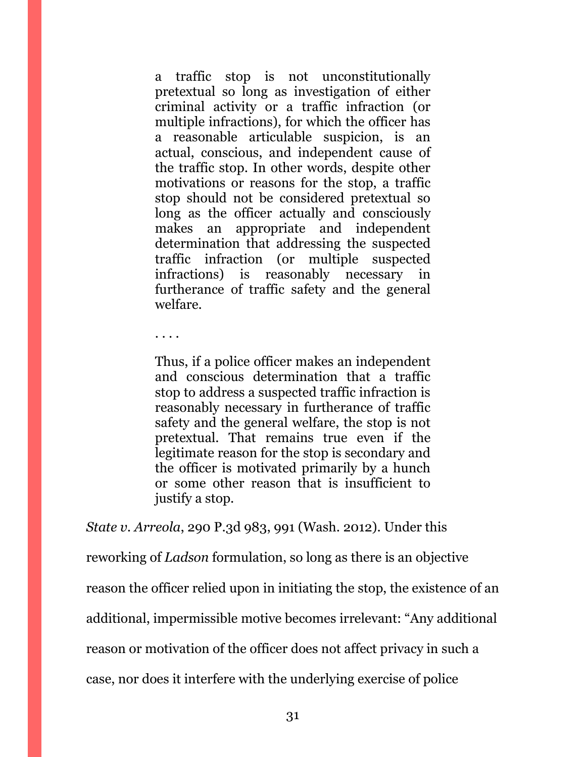a traffic stop is not unconstitutionally pretextual so long as investigation of either criminal activity or a traffic infraction (or multiple infractions), for which the officer has a reasonable articulable suspicion, is an actual, conscious, and independent cause of the traffic stop. In other words, despite other motivations or reasons for the stop, a traffic stop should not be considered pretextual so long as the officer actually and consciously makes an appropriate and independent determination that addressing the suspected traffic infraction (or multiple suspected infractions) is reasonably necessary in furtherance of traffic safety and the general welfare.

. . . .

Thus, if a police officer makes an independent and conscious determination that a traffic stop to address a suspected traffic infraction is reasonably necessary in furtherance of traffic safety and the general welfare, the stop is not pretextual. That remains true even if the legitimate reason for the stop is secondary and the officer is motivated primarily by a hunch or some other reason that is insufficient to justify a stop.

*State v. Arreola*, 290 P.3d 983, 991 (Wash. 2012). Under this

reworking of *Ladson* formulation, so long as there is an objective

reason the officer relied upon in initiating the stop, the existence of an

additional, impermissible motive becomes irrelevant: "Any additional

reason or motivation of the officer does not affect privacy in such a

case, nor does it interfere with the underlying exercise of police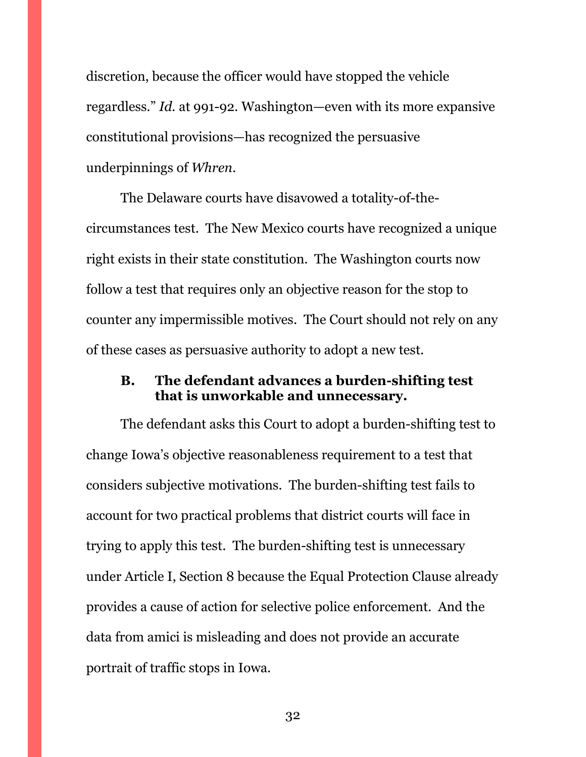discretion, because the officer would have stopped the vehicle regardless." *Id.* at 991-92. Washington—even with its more expansive constitutional provisions—has recognized the persuasive underpinnings of *Whren*.

The Delaware courts have disavowed a totality-of-thecircumstances test. The New Mexico courts have recognized a unique right exists in their state constitution. The Washington courts now follow a test that requires only an objective reason for the stop to counter any impermissible motives. The Court should not rely on any of these cases as persuasive authority to adopt a new test.

### <span id="page-31-0"></span>**B. The defendant advances a burden-shifting test that is unworkable and unnecessary.**

The defendant asks this Court to adopt a burden-shifting test to change Iowa's objective reasonableness requirement to a test that considers subjective motivations. The burden-shifting test fails to account for two practical problems that district courts will face in trying to apply this test. The burden-shifting test is unnecessary under Article I, Section 8 because the Equal Protection Clause already provides a cause of action for selective police enforcement. And the data from amici is misleading and does not provide an accurate portrait of traffic stops in Iowa.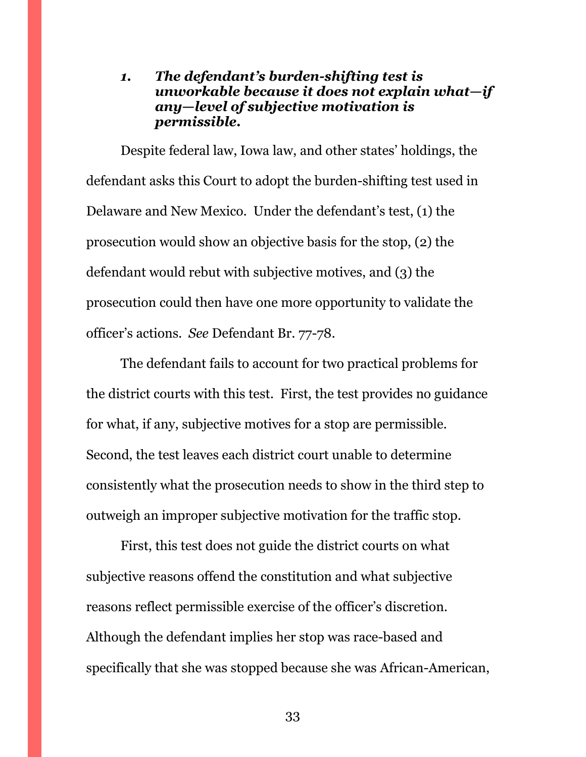### <span id="page-32-0"></span>*1. The defendant's burden-shifting test is unworkable because it does not explain what—if any—level of subjective motivation is permissible.*

Despite federal law, Iowa law, and other states' holdings, the defendant asks this Court to adopt the burden-shifting test used in Delaware and New Mexico. Under the defendant's test, (1) the prosecution would show an objective basis for the stop, (2) the defendant would rebut with subjective motives, and (3) the prosecution could then have one more opportunity to validate the officer's actions. *See* Defendant Br. 77-78.

The defendant fails to account for two practical problems for the district courts with this test. First, the test provides no guidance for what, if any, subjective motives for a stop are permissible. Second, the test leaves each district court unable to determine consistently what the prosecution needs to show in the third step to outweigh an improper subjective motivation for the traffic stop.

First, this test does not guide the district courts on what subjective reasons offend the constitution and what subjective reasons reflect permissible exercise of the officer's discretion. Although the defendant implies her stop was race-based and specifically that she was stopped because she was African-American,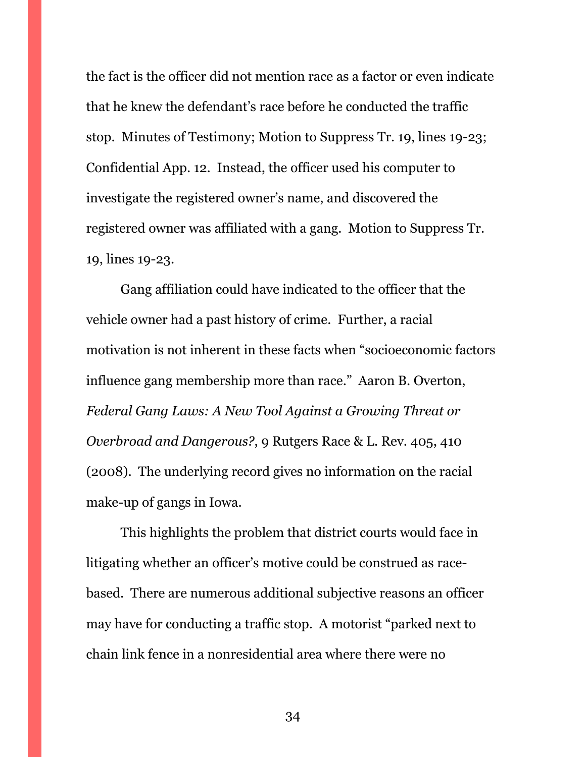the fact is the officer did not mention race as a factor or even indicate that he knew the defendant's race before he conducted the traffic stop. Minutes of Testimony; Motion to Suppress Tr. 19, lines 19-23; Confidential App. 12. Instead, the officer used his computer to investigate the registered owner's name, and discovered the registered owner was affiliated with a gang. Motion to Suppress Tr. 19, lines 19-23.

Gang affiliation could have indicated to the officer that the vehicle owner had a past history of crime. Further, a racial motivation is not inherent in these facts when "socioeconomic factors influence gang membership more than race." Aaron B. Overton, *Federal Gang Laws: A New Tool Against a Growing Threat or Overbroad and Dangerous?*, 9 Rutgers Race & L. Rev. 405, 410 (2008). The underlying record gives no information on the racial make-up of gangs in Iowa.

This highlights the problem that district courts would face in litigating whether an officer's motive could be construed as racebased. There are numerous additional subjective reasons an officer may have for conducting a traffic stop. A motorist "parked next to chain link fence in a nonresidential area where there were no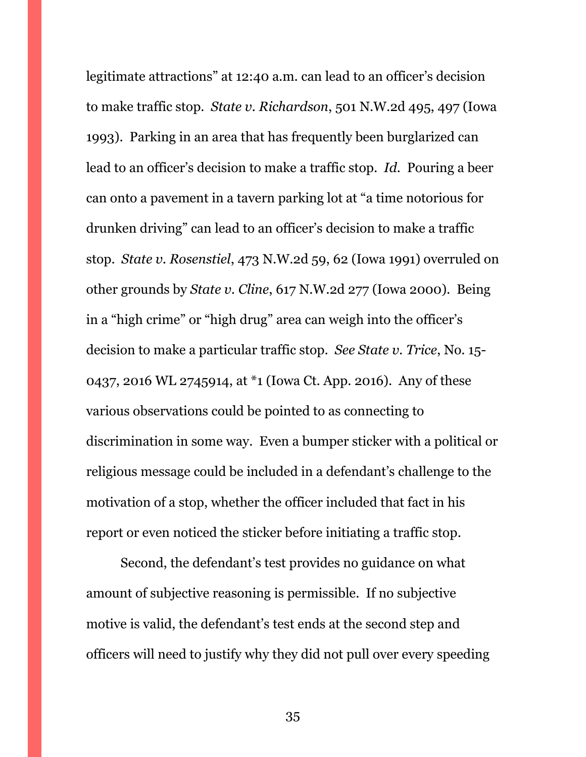legitimate attractions" at 12:40 a.m. can lead to an officer's decision to make traffic stop. *State v. Richardson*, 501 N.W.2d 495, 497 (Iowa 1993). Parking in an area that has frequently been burglarized can lead to an officer's decision to make a traffic stop. *Id.* Pouring a beer can onto a pavement in a tavern parking lot at "a time notorious for drunken driving" can lead to an officer's decision to make a traffic stop. *State v. Rosenstiel*, 473 N.W.2d 59, 62 (Iowa 1991) overruled on other grounds by *State v. Cline*, 617 N.W.2d 277 (Iowa 2000). Being in a "high crime" or "high drug" area can weigh into the officer's decision to make a particular traffic stop. *See State v. Trice*, No. 15- 0437, 2016 WL 2745914, at \*1 (Iowa Ct. App. 2016). Any of these various observations could be pointed to as connecting to discrimination in some way. Even a bumper sticker with a political or religious message could be included in a defendant's challenge to the motivation of a stop, whether the officer included that fact in his report or even noticed the sticker before initiating a traffic stop.

Second, the defendant's test provides no guidance on what amount of subjective reasoning is permissible. If no subjective motive is valid, the defendant's test ends at the second step and officers will need to justify why they did not pull over every speeding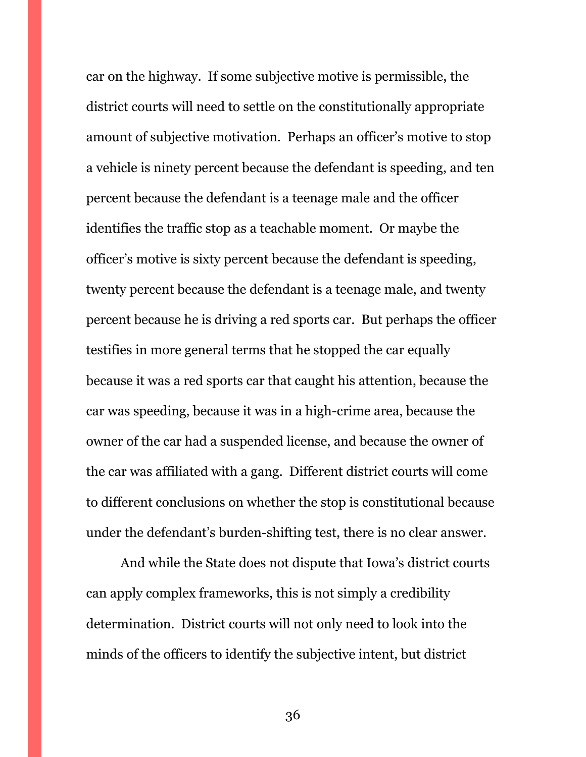car on the highway. If some subjective motive is permissible, the district courts will need to settle on the constitutionally appropriate amount of subjective motivation. Perhaps an officer's motive to stop a vehicle is ninety percent because the defendant is speeding, and ten percent because the defendant is a teenage male and the officer identifies the traffic stop as a teachable moment. Or maybe the officer's motive is sixty percent because the defendant is speeding, twenty percent because the defendant is a teenage male, and twenty percent because he is driving a red sports car. But perhaps the officer testifies in more general terms that he stopped the car equally because it was a red sports car that caught his attention, because the car was speeding, because it was in a high-crime area, because the owner of the car had a suspended license, and because the owner of the car was affiliated with a gang. Different district courts will come to different conclusions on whether the stop is constitutional because under the defendant's burden-shifting test, there is no clear answer.

And while the State does not dispute that Iowa's district courts can apply complex frameworks, this is not simply a credibility determination. District courts will not only need to look into the minds of the officers to identify the subjective intent, but district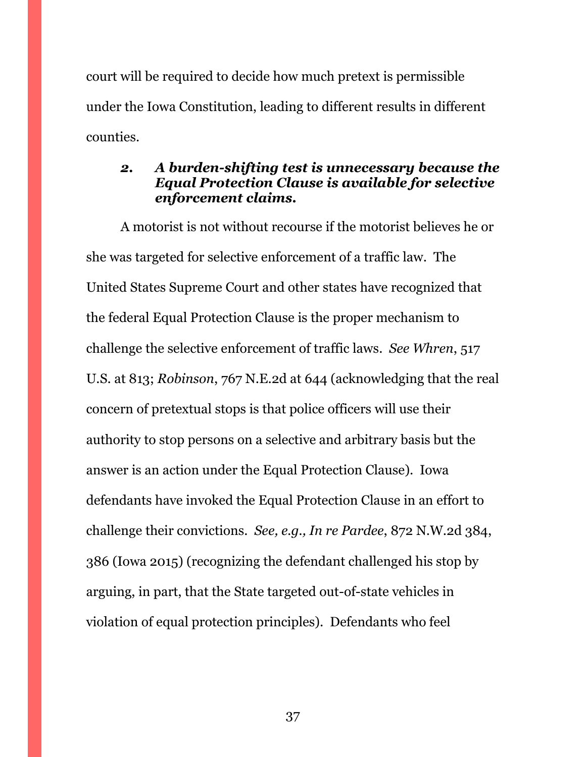court will be required to decide how much pretext is permissible under the Iowa Constitution, leading to different results in different counties.

### <span id="page-36-0"></span>*2. A burden-shifting test is unnecessary because the Equal Protection Clause is available for selective enforcement claims.*

A motorist is not without recourse if the motorist believes he or she was targeted for selective enforcement of a traffic law. The United States Supreme Court and other states have recognized that the federal Equal Protection Clause is the proper mechanism to challenge the selective enforcement of traffic laws. *See Whren*, 517 U.S. at 813; *Robinson*, 767 N.E.2d at 644 (acknowledging that the real concern of pretextual stops is that police officers will use their authority to stop persons on a selective and arbitrary basis but the answer is an action under the Equal Protection Clause). Iowa defendants have invoked the Equal Protection Clause in an effort to challenge their convictions. *See, e.g., In re Pardee*, 872 N.W.2d 384, 386 (Iowa 2015) (recognizing the defendant challenged his stop by arguing, in part, that the State targeted out-of-state vehicles in violation of equal protection principles). Defendants who feel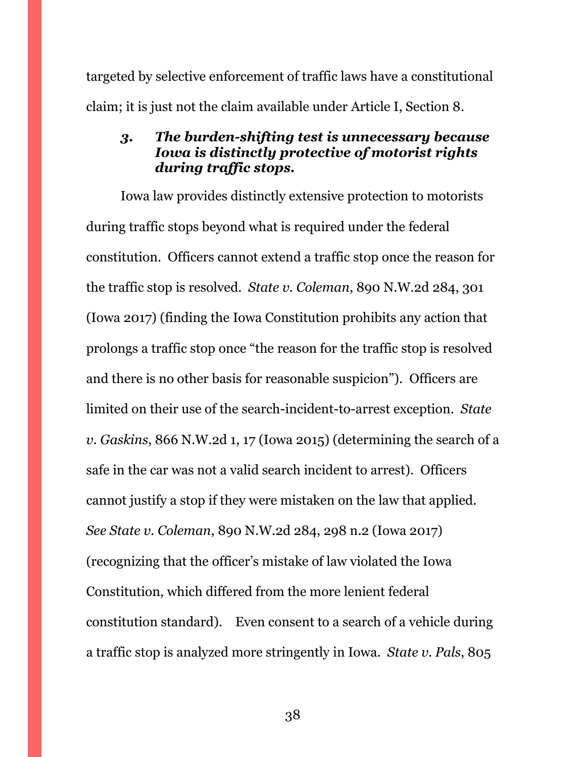targeted by selective enforcement of traffic laws have a constitutional claim; it is just not the claim available under Article I, Section 8.

### <span id="page-37-0"></span>*3. The burden-shifting test is unnecessary because Iowa is distinctly protective of motorist rights during traffic stops.*

Iowa law provides distinctly extensive protection to motorists during traffic stops beyond what is required under the federal constitution. Officers cannot extend a traffic stop once the reason for the traffic stop is resolved. *State v. Coleman*, 890 N.W.2d 284, 301 (Iowa 2017) (finding the Iowa Constitution prohibits any action that prolongs a traffic stop once "the reason for the traffic stop is resolved and there is no other basis for reasonable suspicion"). Officers are limited on their use of the search-incident-to-arrest exception. *State v. Gaskins*, 866 N.W.2d 1, 17 (Iowa 2015) (determining the search of a safe in the car was not a valid search incident to arrest). Officers cannot justify a stop if they were mistaken on the law that applied. *See State v. Coleman*, 890 N.W.2d 284, 298 n.2 (Iowa 2017) (recognizing that the officer's mistake of law violated the Iowa Constitution, which differed from the more lenient federal constitution standard). Even consent to a search of a vehicle during a traffic stop is analyzed more stringently in Iowa. *State v. Pals*, 805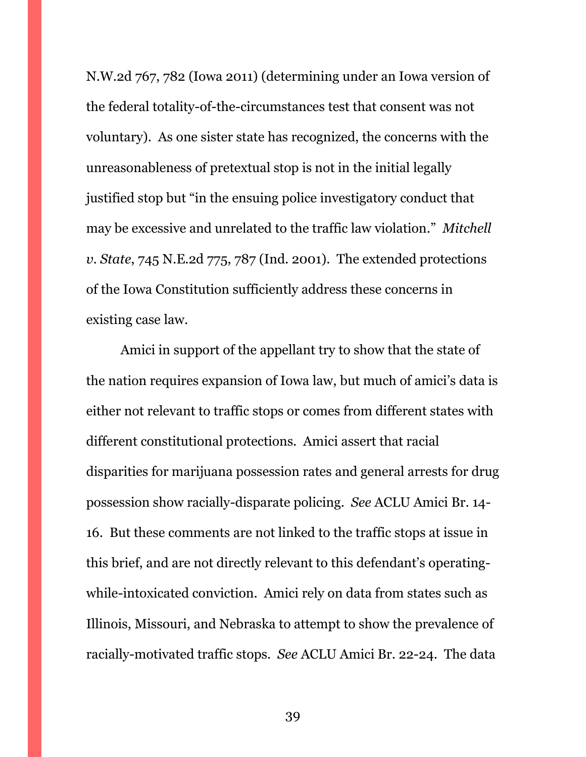N.W.2d 767, 782 (Iowa 2011) (determining under an Iowa version of the federal totality-of-the-circumstances test that consent was not voluntary). As one sister state has recognized, the concerns with the unreasonableness of pretextual stop is not in the initial legally justified stop but "in the ensuing police investigatory conduct that may be excessive and unrelated to the traffic law violation." *Mitchell v. State*, 745 N.E.2d 775, 787 (Ind. 2001). The extended protections of the Iowa Constitution sufficiently address these concerns in existing case law.

Amici in support of the appellant try to show that the state of the nation requires expansion of Iowa law, but much of amici's data is either not relevant to traffic stops or comes from different states with different constitutional protections. Amici assert that racial disparities for marijuana possession rates and general arrests for drug possession show racially-disparate policing. *See* ACLU Amici Br. 14- 16. But these comments are not linked to the traffic stops at issue in this brief, and are not directly relevant to this defendant's operatingwhile-intoxicated conviction. Amici rely on data from states such as Illinois, Missouri, and Nebraska to attempt to show the prevalence of racially-motivated traffic stops. *See* ACLU Amici Br. 22-24. The data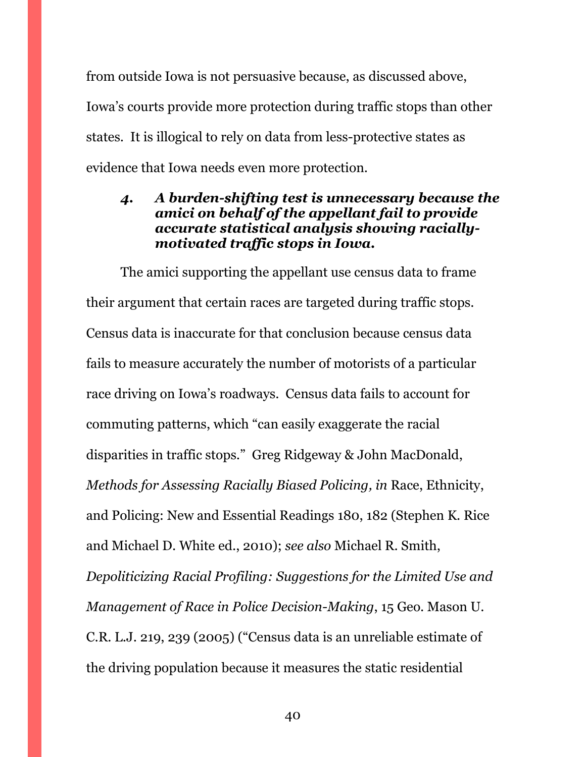from outside Iowa is not persuasive because, as discussed above, Iowa's courts provide more protection during traffic stops than other states. It is illogical to rely on data from less-protective states as evidence that Iowa needs even more protection.

### <span id="page-39-0"></span>*4. A burden-shifting test is unnecessary because the amici on behalf of the appellant fail to provide accurate statistical analysis showing raciallymotivated traffic stops in Iowa.*

The amici supporting the appellant use census data to frame their argument that certain races are targeted during traffic stops. Census data is inaccurate for that conclusion because census data fails to measure accurately the number of motorists of a particular race driving on Iowa's roadways. Census data fails to account for commuting patterns, which "can easily exaggerate the racial disparities in traffic stops." Greg Ridgeway & John MacDonald, *Methods for Assessing Racially Biased Policing, in* Race, Ethnicity, and Policing: New and Essential Readings 180, 182 (Stephen K. Rice and Michael D. White ed., 2010); *see also* Michael R. Smith, *Depoliticizing Racial Profiling: Suggestions for the Limited Use and Management of Race in Police Decision-Making*, 15 Geo. Mason U. C.R. L.J. 219, 239 (2005) ("Census data is an unreliable estimate of the driving population because it measures the static residential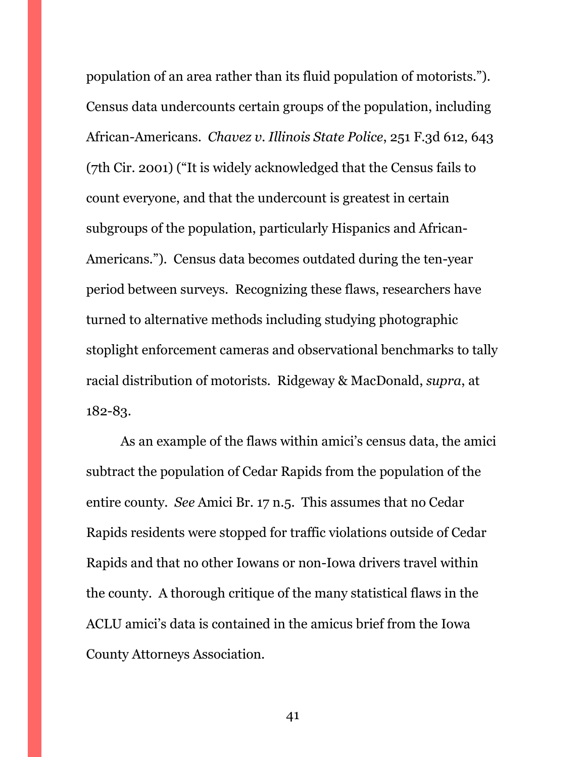population of an area rather than its fluid population of motorists."). Census data undercounts certain groups of the population, including African-Americans. *Chavez v. Illinois State Police*, 251 F.3d 612, 643 (7th Cir. 2001) ("It is widely acknowledged that the Census fails to count everyone, and that the undercount is greatest in certain subgroups of the population, particularly Hispanics and African-Americans."). Census data becomes outdated during the ten-year period between surveys. Recognizing these flaws, researchers have turned to alternative methods including studying photographic stoplight enforcement cameras and observational benchmarks to tally racial distribution of motorists. Ridgeway & MacDonald, *supra*, at 182-83.

As an example of the flaws within amici's census data, the amici subtract the population of Cedar Rapids from the population of the entire county. *See* Amici Br. 17 n.5. This assumes that no Cedar Rapids residents were stopped for traffic violations outside of Cedar Rapids and that no other Iowans or non-Iowa drivers travel within the county. A thorough critique of the many statistical flaws in the ACLU amici's data is contained in the amicus brief from the Iowa County Attorneys Association.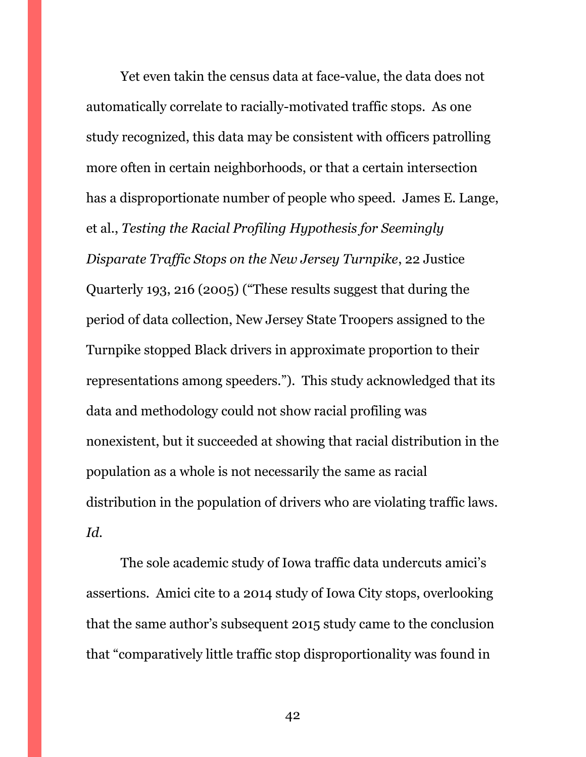Yet even takin the census data at face-value, the data does not automatically correlate to racially-motivated traffic stops. As one study recognized, this data may be consistent with officers patrolling more often in certain neighborhoods, or that a certain intersection has a disproportionate number of people who speed. James E. Lange, et al., *Testing the Racial Profiling Hypothesis for Seemingly Disparate Traffic Stops on the New Jersey Turnpike*, 22 Justice Quarterly 193, 216 (2005) ("These results suggest that during the period of data collection, New Jersey State Troopers assigned to the Turnpike stopped Black drivers in approximate proportion to their representations among speeders."). This study acknowledged that its data and methodology could not show racial profiling was nonexistent, but it succeeded at showing that racial distribution in the population as a whole is not necessarily the same as racial distribution in the population of drivers who are violating traffic laws. *Id.*

The sole academic study of Iowa traffic data undercuts amici's assertions. Amici cite to a 2014 study of Iowa City stops, overlooking that the same author's subsequent 2015 study came to the conclusion that "comparatively little traffic stop disproportionality was found in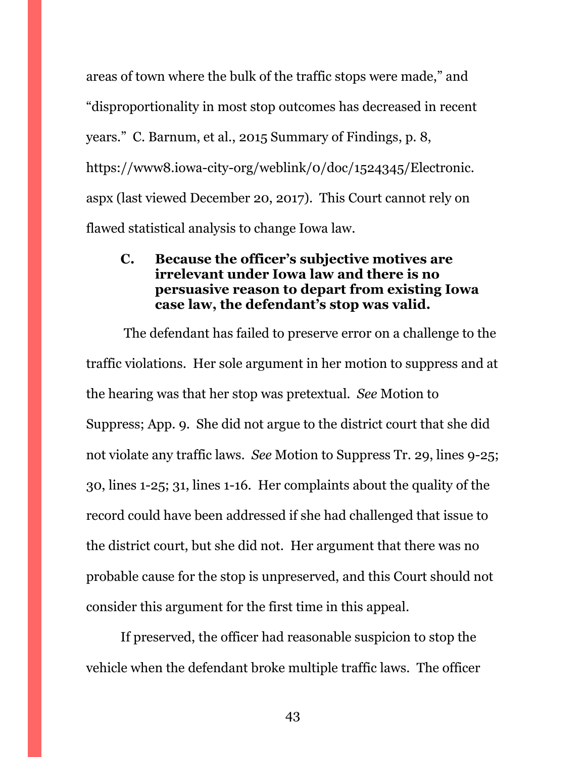areas of town where the bulk of the traffic stops were made," and "disproportionality in most stop outcomes has decreased in recent years." C. Barnum, et al., 2015 Summary of Findings, p. 8, https://www8.iowa-city-org/weblink/0/doc/1524345/Electronic. aspx (last viewed December 20, 2017). This Court cannot rely on flawed statistical analysis to change Iowa law.

### <span id="page-42-0"></span>**C. Because the officer's subjective motives are irrelevant under Iowa law and there is no persuasive reason to depart from existing Iowa case law, the defendant's stop was valid.**

The defendant has failed to preserve error on a challenge to the traffic violations. Her sole argument in her motion to suppress and at the hearing was that her stop was pretextual. *See* Motion to Suppress; App. 9. She did not argue to the district court that she did not violate any traffic laws. *See* Motion to Suppress Tr. 29, lines 9-25; 30, lines 1-25; 31, lines 1-16. Her complaints about the quality of the record could have been addressed if she had challenged that issue to the district court, but she did not. Her argument that there was no probable cause for the stop is unpreserved, and this Court should not consider this argument for the first time in this appeal.

If preserved, the officer had reasonable suspicion to stop the vehicle when the defendant broke multiple traffic laws. The officer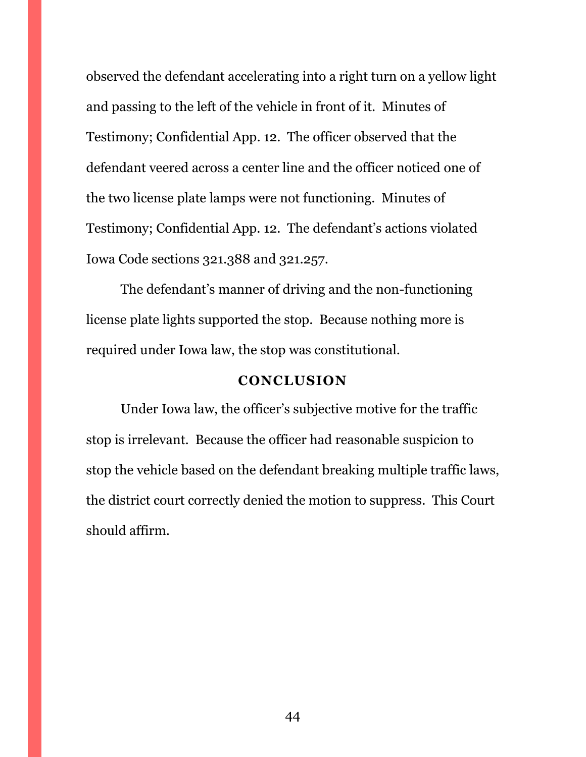observed the defendant accelerating into a right turn on a yellow light and passing to the left of the vehicle in front of it. Minutes of Testimony; Confidential App. 12. The officer observed that the defendant veered across a center line and the officer noticed one of the two license plate lamps were not functioning. Minutes of Testimony; Confidential App. 12. The defendant's actions violated Iowa Code sections 321.388 and 321.257.

The defendant's manner of driving and the non-functioning license plate lights supported the stop. Because nothing more is required under Iowa law, the stop was constitutional.

### **CONCLUSION**

<span id="page-43-0"></span>Under Iowa law, the officer's subjective motive for the traffic stop is irrelevant. Because the officer had reasonable suspicion to stop the vehicle based on the defendant breaking multiple traffic laws, the district court correctly denied the motion to suppress. This Court should affirm.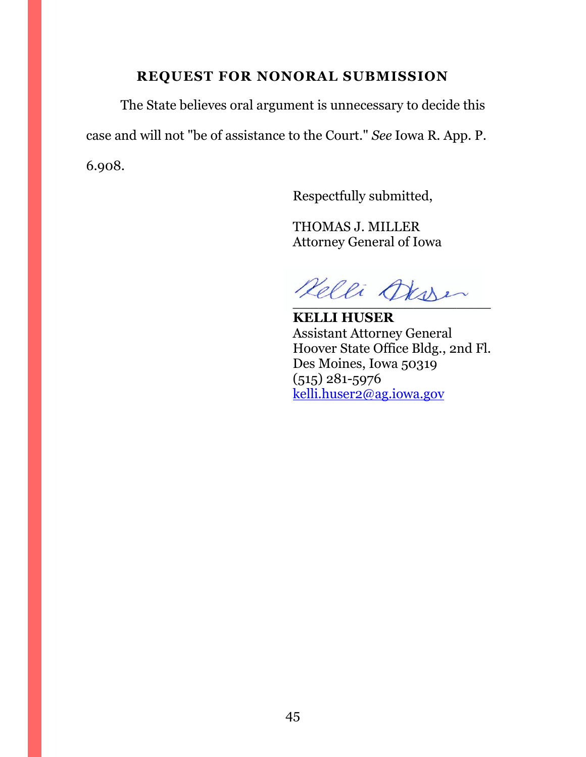### **REQUEST FOR NONORAL SUBMISSION**

<span id="page-44-0"></span>The State believes oral argument is unnecessary to decide this case and will not "be of assistance to the Court." *See* Iowa R. App. P. 6.908.

Respectfully submitted,

THOMAS J. MILLER Attorney General of Iowa

Kelli Oksser

**KELLI HUSER** Assistant Attorney General Hoover State Office Bldg., 2nd Fl. Des Moines, Iowa 50319 (515) 281-5976 [kelli.huser2@ag.iowa.gov](mailto:kelli.huser2@ag.iowa.gov)